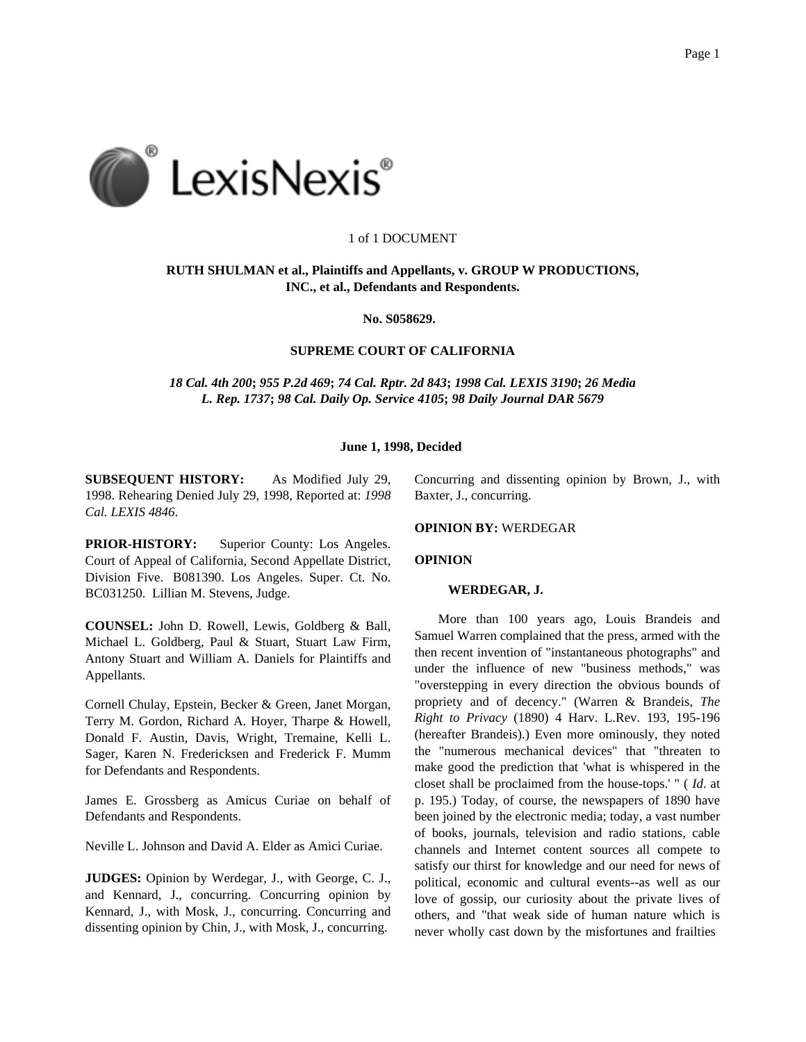

### 1 of 1 DOCUMENT

# **RUTH SHULMAN et al., Plaintiffs and Appellants, v. GROUP W PRODUCTIONS, INC., et al., Defendants and Respondents.**

**No. S058629.**

### **SUPREME COURT OF CALIFORNIA**

*18 Cal. 4th 200***;** *955 P.2d 469***;** *74 Cal. Rptr. 2d 843***;** *1998 Cal. LEXIS 3190***;** *26 Media L. Rep. 1737***;** *98 Cal. Daily Op. Service 4105***;** *98 Daily Journal DAR 5679*

#### **June 1, 1998, Decided**

**SUBSEQUENT HISTORY:** As Modified July 29, 1998. Rehearing Denied July 29, 1998, Reported at: *1998 Cal. LEXIS 4846*.

**PRIOR-HISTORY:** Superior County: Los Angeles. Court of Appeal of California, Second Appellate District, Division Five. B081390. Los Angeles. Super. Ct. No. BC031250. Lillian M. Stevens, Judge.

**COUNSEL:** John D. Rowell, Lewis, Goldberg & Ball, Michael L. Goldberg, Paul & Stuart, Stuart Law Firm, Antony Stuart and William A. Daniels for Plaintiffs and Appellants.

Cornell Chulay, Epstein, Becker & Green, Janet Morgan, Terry M. Gordon, Richard A. Hoyer, Tharpe & Howell, Donald F. Austin, Davis, Wright, Tremaine, Kelli L. Sager, Karen N. Fredericksen and Frederick F. Mumm for Defendants and Respondents.

James E. Grossberg as Amicus Curiae on behalf of Defendants and Respondents.

Neville L. Johnson and David A. Elder as Amici Curiae.

**JUDGES:** Opinion by Werdegar, J., with George, C. J., and Kennard, J., concurring. Concurring opinion by Kennard, J., with Mosk, J., concurring. Concurring and dissenting opinion by Chin, J., with Mosk, J., concurring.

Concurring and dissenting opinion by Brown, J., with Baxter, J., concurring.

**OPINION BY:** WERDEGAR

#### **OPINION**

#### **WERDEGAR, J.**

More than 100 years ago, Louis Brandeis and Samuel Warren complained that the press, armed with the then recent invention of "instantaneous photographs" and under the influence of new "business methods," was "overstepping in every direction the obvious bounds of propriety and of decency." (Warren & Brandeis, *The Right to Privacy* (1890) 4 Harv. L.Rev. 193, 195-196 (hereafter Brandeis).) Even more ominously, they noted the "numerous mechanical devices" that "threaten to make good the prediction that 'what is whispered in the closet shall be proclaimed from the house-tops.' " ( *Id*. at p. 195.) Today, of course, the newspapers of 1890 have been joined by the electronic media; today, a vast number of books, journals, television and radio stations, cable channels and Internet content sources all compete to satisfy our thirst for knowledge and our need for news of political, economic and cultural events--as well as our love of gossip, our curiosity about the private lives of others, and "that weak side of human nature which is never wholly cast down by the misfortunes and frailties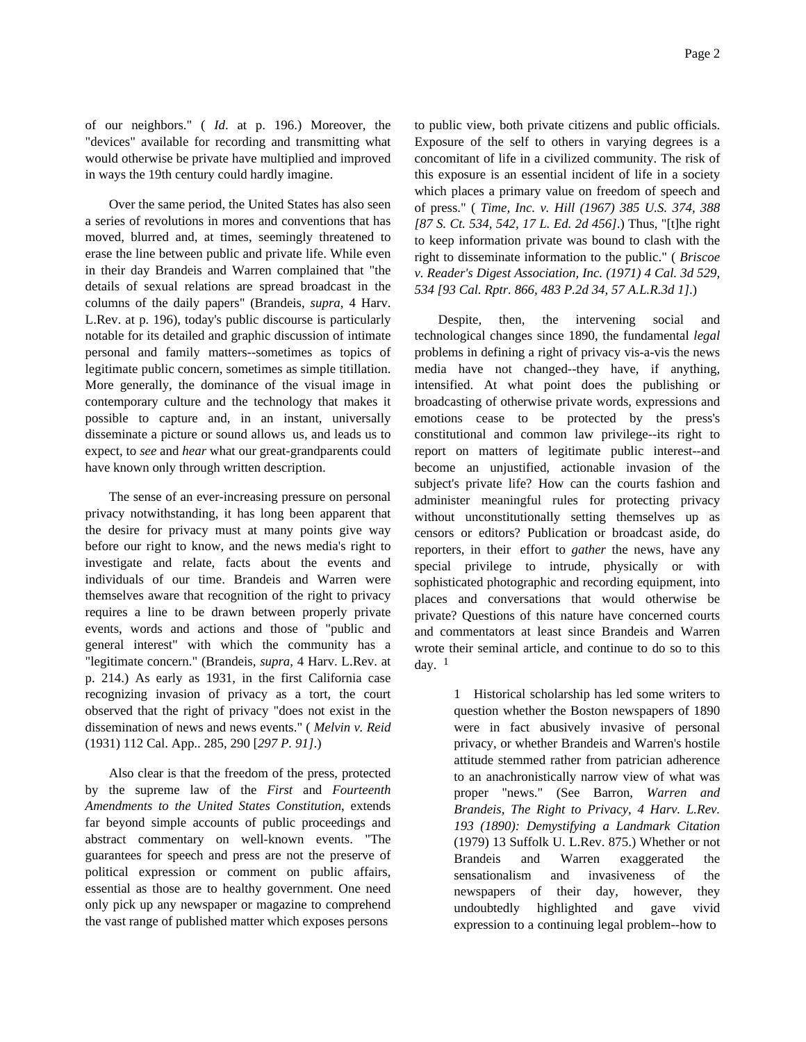of our neighbors." ( *Id*. at p. 196.) Moreover, the "devices" available for recording and transmitting what would otherwise be private have multiplied and improved in ways the 19th century could hardly imagine.

Over the same period, the United States has also seen a series of revolutions in mores and conventions that has moved, blurred and, at times, seemingly threatened to erase the line between public and private life. While even in their day Brandeis and Warren complained that "the details of sexual relations are spread broadcast in the columns of the daily papers" (Brandeis, *supra*, 4 Harv. L.Rev. at p. 196), today's public discourse is particularly notable for its detailed and graphic discussion of intimate personal and family matters--sometimes as topics of legitimate public concern, sometimes as simple titillation. More generally, the dominance of the visual image in contemporary culture and the technology that makes it possible to capture and, in an instant, universally disseminate a picture or sound allows us, and leads us to expect, to *see* and *hear* what our great-grandparents could have known only through written description.

The sense of an ever-increasing pressure on personal privacy notwithstanding, it has long been apparent that the desire for privacy must at many points give way before our right to know, and the news media's right to investigate and relate, facts about the events and individuals of our time. Brandeis and Warren were themselves aware that recognition of the right to privacy requires a line to be drawn between properly private events, words and actions and those of "public and general interest" with which the community has a "legitimate concern." (Brandeis, *supra*, 4 Harv. L.Rev. at p. 214.) As early as 1931, in the first California case recognizing invasion of privacy as a tort, the court observed that the right of privacy "does not exist in the dissemination of news and news events." ( *Melvin v. Reid* (1931) 112 Cal. App.. 285, 290 [*297 P. 91]*.)

Also clear is that the freedom of the press, protected by the supreme law of the *First* and *Fourteenth Amendments to the United States Constitution*, extends far beyond simple accounts of public proceedings and abstract commentary on well-known events. "The guarantees for speech and press are not the preserve of political expression or comment on public affairs, essential as those are to healthy government. One need only pick up any newspaper or magazine to comprehend the vast range of published matter which exposes persons

to public view, both private citizens and public officials. Exposure of the self to others in varying degrees is a concomitant of life in a civilized community. The risk of this exposure is an essential incident of life in a society which places a primary value on freedom of speech and of press." ( *Time, Inc. v. Hill (1967) 385 U.S. 374, 388 [87 S. Ct. 534, 542, 17 L. Ed. 2d 456]*.) Thus, "[t]he right to keep information private was bound to clash with the right to disseminate information to the public." ( *Briscoe v. Reader's Digest Association, Inc. (1971) 4 Cal. 3d 529, 534 [93 Cal. Rptr. 866, 483 P.2d 34, 57 A.L.R.3d 1]*.)

Despite, then, the intervening social and technological changes since 1890, the fundamental *legal* problems in defining a right of privacy vis-a-vis the news media have not changed--they have, if anything, intensified. At what point does the publishing or broadcasting of otherwise private words, expressions and emotions cease to be protected by the press's constitutional and common law privilege--its right to report on matters of legitimate public interest--and become an unjustified, actionable invasion of the subject's private life? How can the courts fashion and administer meaningful rules for protecting privacy without unconstitutionally setting themselves up as censors or editors? Publication or broadcast aside, do reporters, in their effort to *gather* the news, have any special privilege to intrude, physically or with sophisticated photographic and recording equipment, into places and conversations that would otherwise be private? Questions of this nature have concerned courts and commentators at least since Brandeis and Warren wrote their seminal article, and continue to do so to this day.  $1$ 

> 1 Historical scholarship has led some writers to question whether the Boston newspapers of 1890 were in fact abusively invasive of personal privacy, or whether Brandeis and Warren's hostile attitude stemmed rather from patrician adherence to an anachronistically narrow view of what was proper "news." (See Barron, *Warren and Brandeis*, *The Right to Privacy, 4 Harv. L.Rev. 193 (1890): Demystifying a Landmark Citation* (1979) 13 Suffolk U. L.Rev. 875.) Whether or not Brandeis and Warren exaggerated the sensationalism and invasiveness of the newspapers of their day, however, they undoubtedly highlighted and gave vivid expression to a continuing legal problem--how to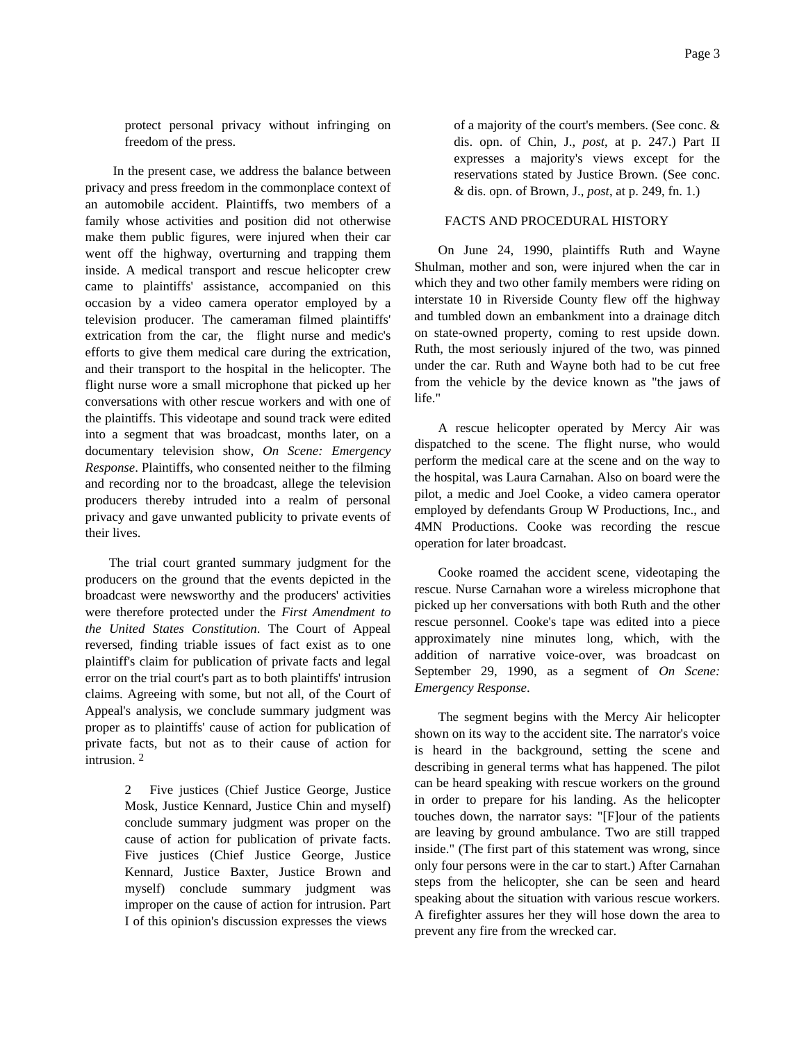protect personal privacy without infringing on freedom of the press.

In the present case, we address the balance between privacy and press freedom in the commonplace context of an automobile accident. Plaintiffs, two members of a family whose activities and position did not otherwise make them public figures, were injured when their car went off the highway, overturning and trapping them inside. A medical transport and rescue helicopter crew came to plaintiffs' assistance, accompanied on this occasion by a video camera operator employed by a television producer. The cameraman filmed plaintiffs' extrication from the car, the flight nurse and medic's efforts to give them medical care during the extrication, and their transport to the hospital in the helicopter. The flight nurse wore a small microphone that picked up her conversations with other rescue workers and with one of the plaintiffs. This videotape and sound track were edited into a segment that was broadcast, months later, on a documentary television show, *On Scene: Emergency Response*. Plaintiffs, who consented neither to the filming and recording nor to the broadcast, allege the television producers thereby intruded into a realm of personal privacy and gave unwanted publicity to private events of their lives.

The trial court granted summary judgment for the producers on the ground that the events depicted in the broadcast were newsworthy and the producers' activities were therefore protected under the *First Amendment to the United States Constitution*. The Court of Appeal reversed, finding triable issues of fact exist as to one plaintiff's claim for publication of private facts and legal error on the trial court's part as to both plaintiffs' intrusion claims. Agreeing with some, but not all, of the Court of Appeal's analysis, we conclude summary judgment was proper as to plaintiffs' cause of action for publication of private facts, but not as to their cause of action for intrusion. 2

> 2 Five justices (Chief Justice George, Justice Mosk, Justice Kennard, Justice Chin and myself) conclude summary judgment was proper on the cause of action for publication of private facts. Five justices (Chief Justice George, Justice Kennard, Justice Baxter, Justice Brown and myself) conclude summary judgment was improper on the cause of action for intrusion. Part I of this opinion's discussion expresses the views

of a majority of the court's members. (See conc. & dis. opn. of Chin, J., *post*, at p. 247.) Part II expresses a majority's views except for the reservations stated by Justice Brown. (See conc. & dis. opn. of Brown, J., *post*, at p. 249, fn. 1.)

## FACTS AND PROCEDURAL HISTORY

On June 24, 1990, plaintiffs Ruth and Wayne Shulman, mother and son, were injured when the car in which they and two other family members were riding on interstate 10 in Riverside County flew off the highway and tumbled down an embankment into a drainage ditch on state-owned property, coming to rest upside down. Ruth, the most seriously injured of the two, was pinned under the car. Ruth and Wayne both had to be cut free from the vehicle by the device known as "the jaws of life."

A rescue helicopter operated by Mercy Air was dispatched to the scene. The flight nurse, who would perform the medical care at the scene and on the way to the hospital, was Laura Carnahan. Also on board were the pilot, a medic and Joel Cooke, a video camera operator employed by defendants Group W Productions, Inc., and 4MN Productions. Cooke was recording the rescue operation for later broadcast.

Cooke roamed the accident scene, videotaping the rescue. Nurse Carnahan wore a wireless microphone that picked up her conversations with both Ruth and the other rescue personnel. Cooke's tape was edited into a piece approximately nine minutes long, which, with the addition of narrative voice-over, was broadcast on September 29, 1990, as a segment of *On Scene: Emergency Response*.

The segment begins with the Mercy Air helicopter shown on its way to the accident site. The narrator's voice is heard in the background, setting the scene and describing in general terms what has happened. The pilot can be heard speaking with rescue workers on the ground in order to prepare for his landing. As the helicopter touches down, the narrator says: "[F]our of the patients are leaving by ground ambulance. Two are still trapped inside." (The first part of this statement was wrong, since only four persons were in the car to start.) After Carnahan steps from the helicopter, she can be seen and heard speaking about the situation with various rescue workers. A firefighter assures her they will hose down the area to prevent any fire from the wrecked car.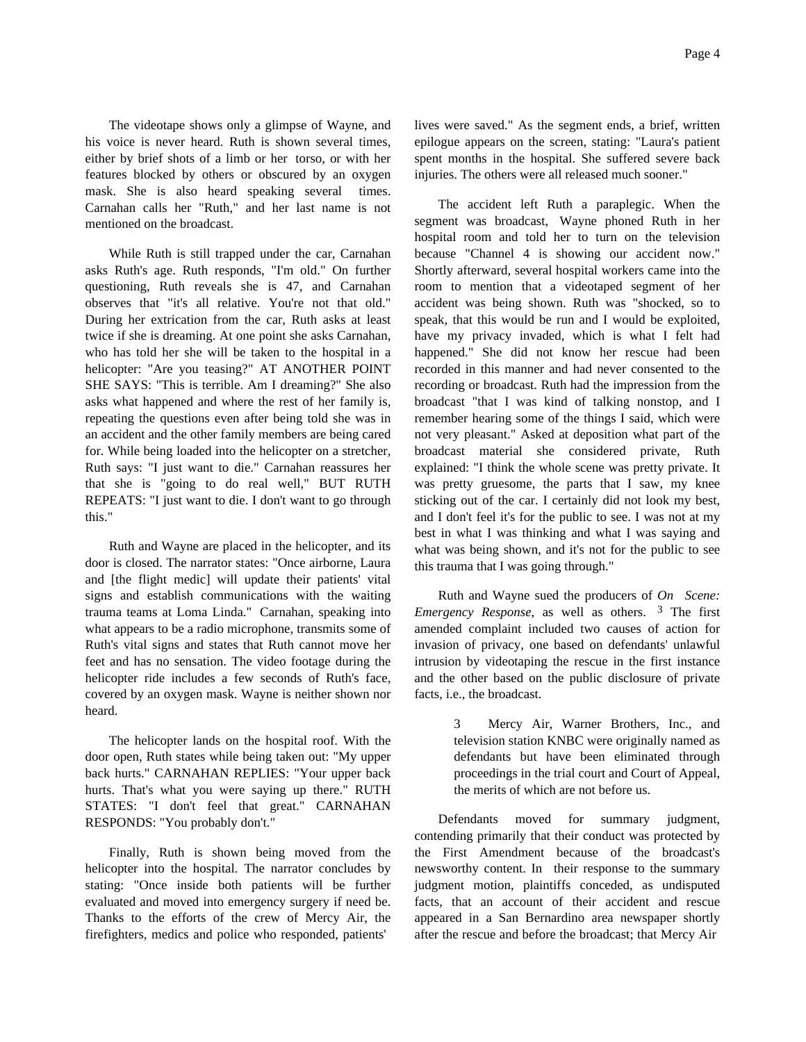The videotape shows only a glimpse of Wayne, and his voice is never heard. Ruth is shown several times, either by brief shots of a limb or her torso, or with her features blocked by others or obscured by an oxygen mask. She is also heard speaking several times. Carnahan calls her "Ruth," and her last name is not mentioned on the broadcast.

While Ruth is still trapped under the car, Carnahan asks Ruth's age. Ruth responds, "I'm old." On further questioning, Ruth reveals she is 47, and Carnahan observes that "it's all relative. You're not that old." During her extrication from the car, Ruth asks at least twice if she is dreaming. At one point she asks Carnahan, who has told her she will be taken to the hospital in a helicopter: "Are you teasing?" AT ANOTHER POINT SHE SAYS: "This is terrible. Am I dreaming?" She also asks what happened and where the rest of her family is, repeating the questions even after being told she was in an accident and the other family members are being cared for. While being loaded into the helicopter on a stretcher, Ruth says: "I just want to die." Carnahan reassures her that she is "going to do real well," BUT RUTH REPEATS: "I just want to die. I don't want to go through this."

Ruth and Wayne are placed in the helicopter, and its door is closed. The narrator states: "Once airborne, Laura and [the flight medic] will update their patients' vital signs and establish communications with the waiting trauma teams at Loma Linda." Carnahan, speaking into what appears to be a radio microphone, transmits some of Ruth's vital signs and states that Ruth cannot move her feet and has no sensation. The video footage during the helicopter ride includes a few seconds of Ruth's face, covered by an oxygen mask. Wayne is neither shown nor heard.

The helicopter lands on the hospital roof. With the door open, Ruth states while being taken out: "My upper back hurts." CARNAHAN REPLIES: "Your upper back hurts. That's what you were saying up there." RUTH STATES: "I don't feel that great." CARNAHAN RESPONDS: "You probably don't."

Finally, Ruth is shown being moved from the helicopter into the hospital. The narrator concludes by stating: "Once inside both patients will be further evaluated and moved into emergency surgery if need be. Thanks to the efforts of the crew of Mercy Air, the firefighters, medics and police who responded, patients'

lives were saved." As the segment ends, a brief, written epilogue appears on the screen, stating: "Laura's patient spent months in the hospital. She suffered severe back injuries. The others were all released much sooner."

The accident left Ruth a paraplegic. When the segment was broadcast, Wayne phoned Ruth in her hospital room and told her to turn on the television because "Channel 4 is showing our accident now." Shortly afterward, several hospital workers came into the room to mention that a videotaped segment of her accident was being shown. Ruth was "shocked, so to speak, that this would be run and I would be exploited, have my privacy invaded, which is what I felt had happened." She did not know her rescue had been recorded in this manner and had never consented to the recording or broadcast. Ruth had the impression from the broadcast "that I was kind of talking nonstop, and I remember hearing some of the things I said, which were not very pleasant." Asked at deposition what part of the broadcast material she considered private, Ruth explained: "I think the whole scene was pretty private. It was pretty gruesome, the parts that I saw, my knee sticking out of the car. I certainly did not look my best, and I don't feel it's for the public to see. I was not at my best in what I was thinking and what I was saying and what was being shown, and it's not for the public to see this trauma that I was going through."

Ruth and Wayne sued the producers of *On Scene: Emergency Response*, as well as others. 3 The first amended complaint included two causes of action for invasion of privacy, one based on defendants' unlawful intrusion by videotaping the rescue in the first instance and the other based on the public disclosure of private facts, i.e., the broadcast.

> 3 Mercy Air, Warner Brothers, Inc., and television station KNBC were originally named as defendants but have been eliminated through proceedings in the trial court and Court of Appeal, the merits of which are not before us.

Defendants moved for summary judgment, contending primarily that their conduct was protected by the First Amendment because of the broadcast's newsworthy content. In their response to the summary judgment motion, plaintiffs conceded, as undisputed facts, that an account of their accident and rescue appeared in a San Bernardino area newspaper shortly after the rescue and before the broadcast; that Mercy Air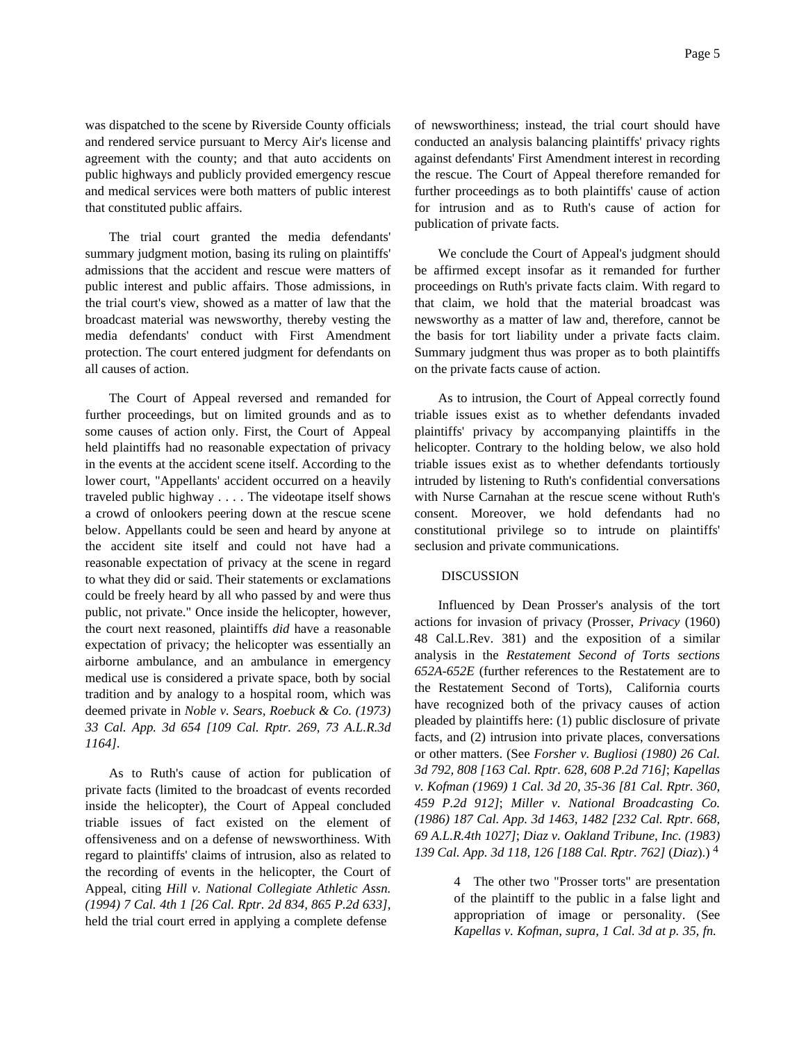was dispatched to the scene by Riverside County officials and rendered service pursuant to Mercy Air's license and agreement with the county; and that auto accidents on public highways and publicly provided emergency rescue and medical services were both matters of public interest that constituted public affairs.

The trial court granted the media defendants' summary judgment motion, basing its ruling on plaintiffs' admissions that the accident and rescue were matters of public interest and public affairs. Those admissions, in the trial court's view, showed as a matter of law that the broadcast material was newsworthy, thereby vesting the media defendants' conduct with First Amendment protection. The court entered judgment for defendants on all causes of action.

The Court of Appeal reversed and remanded for further proceedings, but on limited grounds and as to some causes of action only. First, the Court of Appeal held plaintiffs had no reasonable expectation of privacy in the events at the accident scene itself. According to the lower court, "Appellants' accident occurred on a heavily traveled public highway . . . . The videotape itself shows a crowd of onlookers peering down at the rescue scene below. Appellants could be seen and heard by anyone at the accident site itself and could not have had a reasonable expectation of privacy at the scene in regard to what they did or said. Their statements or exclamations could be freely heard by all who passed by and were thus public, not private." Once inside the helicopter, however, the court next reasoned, plaintiffs *did* have a reasonable expectation of privacy; the helicopter was essentially an airborne ambulance, and an ambulance in emergency medical use is considered a private space, both by social tradition and by analogy to a hospital room, which was deemed private in *Noble v. Sears, Roebuck & Co. (1973) 33 Cal. App. 3d 654 [109 Cal. Rptr. 269, 73 A.L.R.3d 1164]*.

As to Ruth's cause of action for publication of private facts (limited to the broadcast of events recorded inside the helicopter), the Court of Appeal concluded triable issues of fact existed on the element of offensiveness and on a defense of newsworthiness. With regard to plaintiffs' claims of intrusion, also as related to the recording of events in the helicopter, the Court of Appeal, citing *Hill v. National Collegiate Athletic Assn. (1994) 7 Cal. 4th 1 [26 Cal. Rptr. 2d 834, 865 P.2d 633]*, held the trial court erred in applying a complete defense

of newsworthiness; instead, the trial court should have conducted an analysis balancing plaintiffs' privacy rights against defendants' First Amendment interest in recording the rescue. The Court of Appeal therefore remanded for further proceedings as to both plaintiffs' cause of action for intrusion and as to Ruth's cause of action for publication of private facts.

We conclude the Court of Appeal's judgment should be affirmed except insofar as it remanded for further proceedings on Ruth's private facts claim. With regard to that claim, we hold that the material broadcast was newsworthy as a matter of law and, therefore, cannot be the basis for tort liability under a private facts claim. Summary judgment thus was proper as to both plaintiffs on the private facts cause of action.

As to intrusion, the Court of Appeal correctly found triable issues exist as to whether defendants invaded plaintiffs' privacy by accompanying plaintiffs in the helicopter. Contrary to the holding below, we also hold triable issues exist as to whether defendants tortiously intruded by listening to Ruth's confidential conversations with Nurse Carnahan at the rescue scene without Ruth's consent. Moreover, we hold defendants had no constitutional privilege so to intrude on plaintiffs' seclusion and private communications.

#### DISCUSSION

Influenced by Dean Prosser's analysis of the tort actions for invasion of privacy (Prosser, *Privacy* (1960) 48 Cal.L.Rev. 381) and the exposition of a similar analysis in the *Restatement Second of Torts sections 652A-652E* (further references to the Restatement are to the Restatement Second of Torts), California courts have recognized both of the privacy causes of action pleaded by plaintiffs here: (1) public disclosure of private facts, and (2) intrusion into private places, conversations or other matters. (See *Forsher v. Bugliosi (1980) 26 Cal. 3d 792, 808 [163 Cal. Rptr. 628, 608 P.2d 716]*; *Kapellas v. Kofman (1969) 1 Cal. 3d 20, 35-36 [81 Cal. Rptr. 360, 459 P.2d 912]*; *Miller v. National Broadcasting Co. (1986) 187 Cal. App. 3d 1463, 1482 [232 Cal. Rptr. 668, 69 A.L.R.4th 1027]*; *Diaz v. Oakland Tribune, Inc. (1983) 139 Cal. App. 3d 118, 126 [188 Cal. Rptr. 762]* (*Diaz*).) 4

> 4 The other two "Prosser torts" are presentation of the plaintiff to the public in a false light and appropriation of image or personality. (See *Kapellas v. Kofman, supra, 1 Cal. 3d at p. 35, fn.*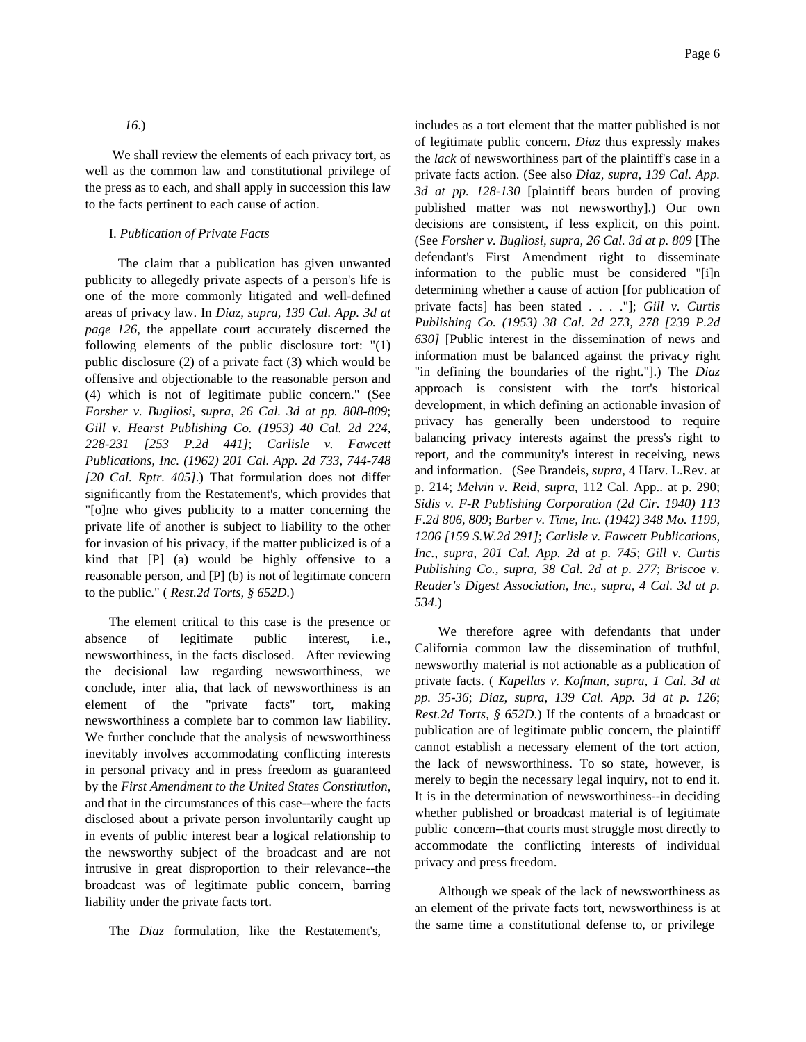*16*.)

We shall review the elements of each privacy tort, as well as the common law and constitutional privilege of the press as to each, and shall apply in succession this law to the facts pertinent to each cause of action.

### I. *Publication of Private Facts*

The claim that a publication has given unwanted publicity to allegedly private aspects of a person's life is one of the more commonly litigated and well-defined areas of privacy law. In *Diaz, supra, 139 Cal. App. 3d at page 126*, the appellate court accurately discerned the following elements of the public disclosure tort: "(1) public disclosure (2) of a private fact (3) which would be offensive and objectionable to the reasonable person and (4) which is not of legitimate public concern." (See *Forsher v. Bugliosi, supra, 26 Cal. 3d at pp. 808-809*; *Gill v. Hearst Publishing Co. (1953) 40 Cal. 2d 224, 228-231 [253 P.2d 441]*; *Carlisle v. Fawcett Publications, Inc. (1962) 201 Cal. App. 2d 733, 744-748 [20 Cal. Rptr. 405]*.) That formulation does not differ significantly from the Restatement's, which provides that "[o]ne who gives publicity to a matter concerning the private life of another is subject to liability to the other for invasion of his privacy, if the matter publicized is of a kind that [P] (a) would be highly offensive to a reasonable person, and [P] (b) is not of legitimate concern to the public." ( *Rest.2d Torts, § 652D*.)

The element critical to this case is the presence or absence of legitimate public interest, i.e., newsworthiness, in the facts disclosed. After reviewing the decisional law regarding newsworthiness, we conclude, inter alia, that lack of newsworthiness is an element of the "private facts" tort, making newsworthiness a complete bar to common law liability. We further conclude that the analysis of newsworthiness inevitably involves accommodating conflicting interests in personal privacy and in press freedom as guaranteed by the *First Amendment to the United States Constitution*, and that in the circumstances of this case--where the facts disclosed about a private person involuntarily caught up in events of public interest bear a logical relationship to the newsworthy subject of the broadcast and are not intrusive in great disproportion to their relevance--the broadcast was of legitimate public concern, barring liability under the private facts tort.

The *Diaz* formulation, like the Restatement's,

includes as a tort element that the matter published is not of legitimate public concern. *Diaz* thus expressly makes the *lack* of newsworthiness part of the plaintiff's case in a private facts action. (See also *Diaz, supra, 139 Cal. App. 3d at pp. 128-130* [plaintiff bears burden of proving published matter was not newsworthy].) Our own decisions are consistent, if less explicit, on this point. (See *Forsher v. Bugliosi, supra, 26 Cal. 3d at p. 809* [The defendant's First Amendment right to disseminate information to the public must be considered "[i]n determining whether a cause of action [for publication of private facts] has been stated . . . ."]; *Gill v. Curtis Publishing Co. (1953) 38 Cal. 2d 273, 278 [239 P.2d 630]* [Public interest in the dissemination of news and information must be balanced against the privacy right "in defining the boundaries of the right."].) The *Diaz* approach is consistent with the tort's historical development, in which defining an actionable invasion of privacy has generally been understood to require balancing privacy interests against the press's right to report, and the community's interest in receiving, news and information. (See Brandeis, *supra*, 4 Harv. L.Rev. at p. 214; *Melvin v. Reid*, *supra*, 112 Cal. App.. at p. 290; *Sidis v. F-R Publishing Corporation (2d Cir. 1940) 113 F.2d 806, 809*; *Barber v. Time, Inc. (1942) 348 Mo. 1199, 1206 [159 S.W.2d 291]*; *Carlisle v. Fawcett Publications, Inc., supra, 201 Cal. App. 2d at p. 745*; *Gill v. Curtis Publishing Co., supra, 38 Cal. 2d at p. 277*; *Briscoe v. Reader's Digest Association, Inc., supra, 4 Cal. 3d at p. 534*.)

We therefore agree with defendants that under California common law the dissemination of truthful, newsworthy material is not actionable as a publication of private facts. ( *Kapellas v. Kofman, supra, 1 Cal. 3d at pp. 35-36*; *Diaz, supra, 139 Cal. App. 3d at p. 126*; *Rest.2d Torts, § 652D*.) If the contents of a broadcast or publication are of legitimate public concern, the plaintiff cannot establish a necessary element of the tort action, the lack of newsworthiness. To so state, however, is merely to begin the necessary legal inquiry, not to end it. It is in the determination of newsworthiness--in deciding whether published or broadcast material is of legitimate public concern--that courts must struggle most directly to accommodate the conflicting interests of individual privacy and press freedom.

Although we speak of the lack of newsworthiness as an element of the private facts tort, newsworthiness is at the same time a constitutional defense to, or privilege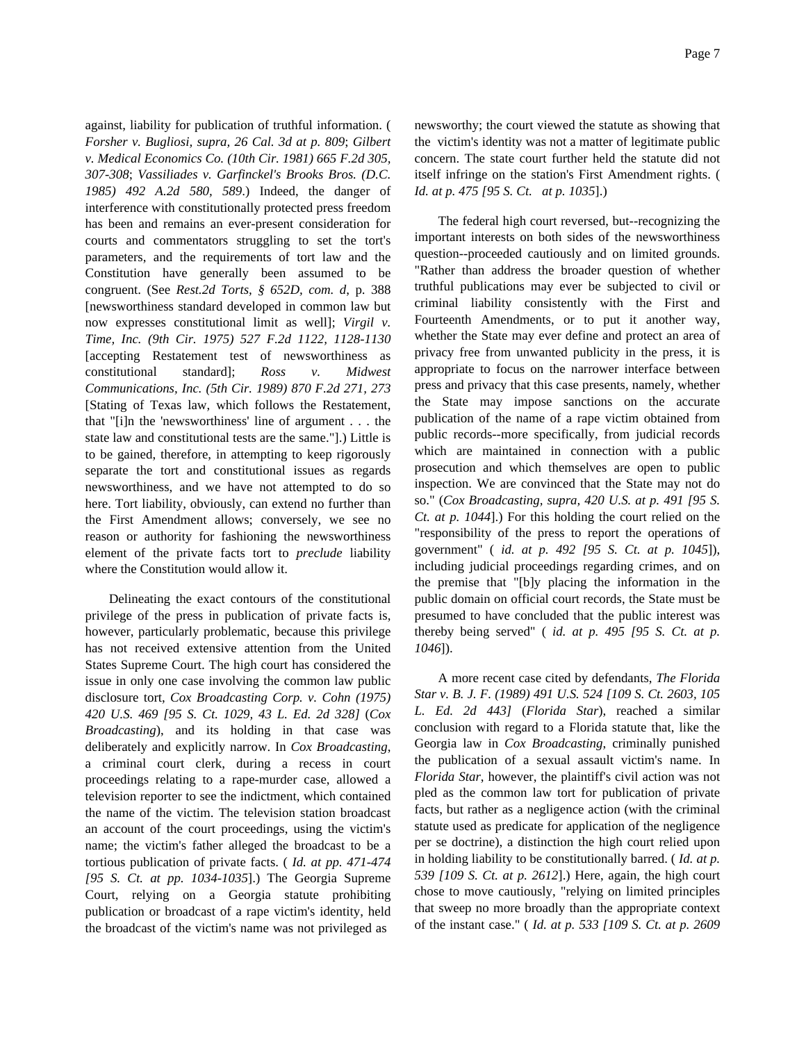against, liability for publication of truthful information. ( *Forsher v. Bugliosi, supra, 26 Cal. 3d at p. 809*; *Gilbert v. Medical Economics Co. (10th Cir. 1981) 665 F.2d 305, 307-308*; *Vassiliades v. Garfinckel's Brooks Bros. (D.C. 1985) 492 A.2d 580, 589*.) Indeed, the danger of interference with constitutionally protected press freedom has been and remains an ever-present consideration for courts and commentators struggling to set the tort's parameters, and the requirements of tort law and the Constitution have generally been assumed to be congruent. (See *Rest.2d Torts, § 652D, com. d*, p. 388 [newsworthiness standard developed in common law but now expresses constitutional limit as well]; *Virgil v. Time, Inc. (9th Cir. 1975) 527 F.2d 1122, 1128-1130* [accepting Restatement test of newsworthiness as constitutional standard]; *Ross v. Midwest Communications, Inc. (5th Cir. 1989) 870 F.2d 271, 273* [Stating of Texas law, which follows the Restatement, that "[i]n the 'newsworthiness' line of argument . . . the state law and constitutional tests are the same."].) Little is to be gained, therefore, in attempting to keep rigorously separate the tort and constitutional issues as regards newsworthiness, and we have not attempted to do so here. Tort liability, obviously, can extend no further than the First Amendment allows; conversely, we see no reason or authority for fashioning the newsworthiness element of the private facts tort to *preclude* liability where the Constitution would allow it.

Delineating the exact contours of the constitutional privilege of the press in publication of private facts is, however, particularly problematic, because this privilege has not received extensive attention from the United States Supreme Court. The high court has considered the issue in only one case involving the common law public disclosure tort, *Cox Broadcasting Corp. v. Cohn (1975) 420 U.S. 469 [95 S. Ct. 1029, 43 L. Ed. 2d 328]* (*Cox Broadcasting*), and its holding in that case was deliberately and explicitly narrow. In *Cox Broadcasting*, a criminal court clerk, during a recess in court proceedings relating to a rape-murder case, allowed a television reporter to see the indictment, which contained the name of the victim. The television station broadcast an account of the court proceedings, using the victim's name; the victim's father alleged the broadcast to be a tortious publication of private facts. ( *Id. at pp. 471-474 [95 S. Ct. at pp. 1034-1035*].) The Georgia Supreme Court, relying on a Georgia statute prohibiting publication or broadcast of a rape victim's identity, held the broadcast of the victim's name was not privileged as

newsworthy; the court viewed the statute as showing that the victim's identity was not a matter of legitimate public concern. The state court further held the statute did not itself infringe on the station's First Amendment rights. ( *Id. at p. 475 [95 S. Ct. at p. 1035*].)

The federal high court reversed, but--recognizing the important interests on both sides of the newsworthiness question--proceeded cautiously and on limited grounds. "Rather than address the broader question of whether truthful publications may ever be subjected to civil or criminal liability consistently with the First and Fourteenth Amendments, or to put it another way, whether the State may ever define and protect an area of privacy free from unwanted publicity in the press, it is appropriate to focus on the narrower interface between press and privacy that this case presents, namely, whether the State may impose sanctions on the accurate publication of the name of a rape victim obtained from public records--more specifically, from judicial records which are maintained in connection with a public prosecution and which themselves are open to public inspection. We are convinced that the State may not do so." (*Cox Broadcasting, supra, 420 U.S. at p. 491 [95 S. Ct. at p. 1044*].) For this holding the court relied on the "responsibility of the press to report the operations of government" ( *id. at p. 492 [95 S. Ct. at p. 1045*]), including judicial proceedings regarding crimes, and on the premise that "[b]y placing the information in the public domain on official court records, the State must be presumed to have concluded that the public interest was thereby being served" ( *id. at p. 495 [95 S. Ct. at p. 1046*]).

A more recent case cited by defendants, *The Florida Star v. B. J. F. (1989) 491 U.S. 524 [109 S. Ct. 2603, 105 L. Ed. 2d 443]* (*Florida Star*), reached a similar conclusion with regard to a Florida statute that, like the Georgia law in *Cox Broadcasting*, criminally punished the publication of a sexual assault victim's name. In *Florida Star*, however, the plaintiff's civil action was not pled as the common law tort for publication of private facts, but rather as a negligence action (with the criminal statute used as predicate for application of the negligence per se doctrine), a distinction the high court relied upon in holding liability to be constitutionally barred. ( *Id. at p. 539 [109 S. Ct. at p. 2612*].) Here, again, the high court chose to move cautiously, "relying on limited principles that sweep no more broadly than the appropriate context of the instant case." ( *Id. at p. 533 [109 S. Ct. at p. 2609*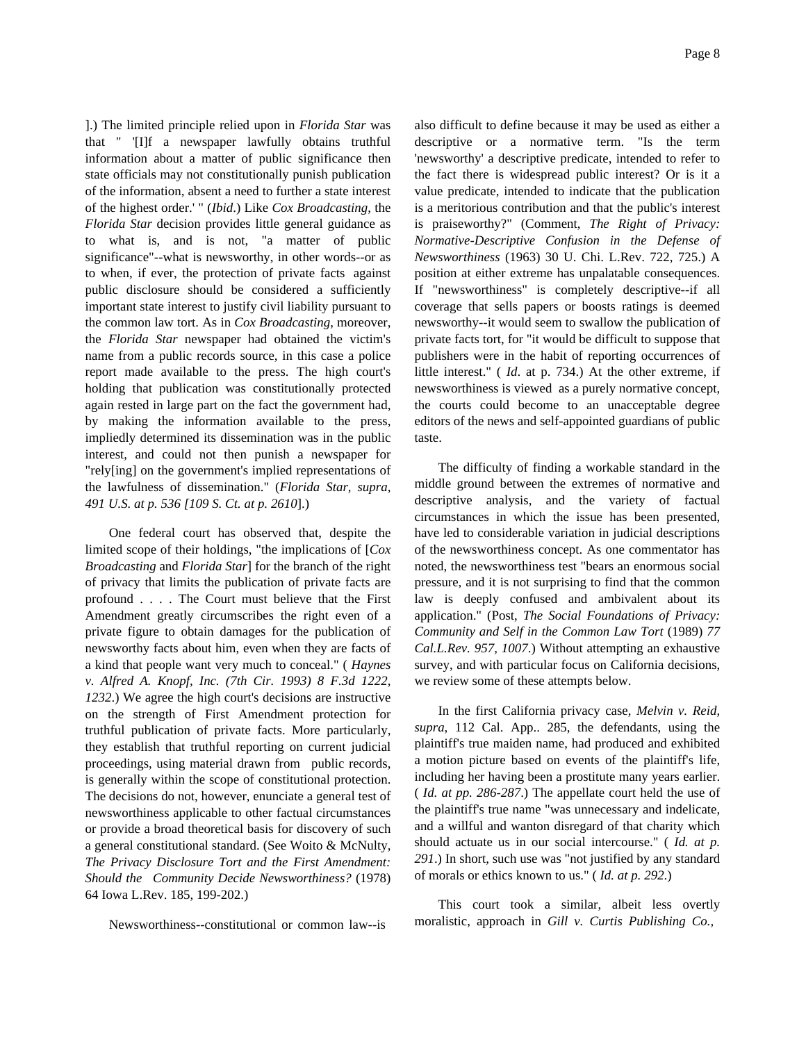].) The limited principle relied upon in *Florida Star* was that " '[I]f a newspaper lawfully obtains truthful information about a matter of public significance then state officials may not constitutionally punish publication of the information, absent a need to further a state interest of the highest order.' " (*Ibid*.) Like *Cox Broadcasting*, the *Florida Star* decision provides little general guidance as to what is, and is not, "a matter of public significance"--what is newsworthy, in other words--or as to when, if ever, the protection of private facts against public disclosure should be considered a sufficiently important state interest to justify civil liability pursuant to the common law tort. As in *Cox Broadcasting*, moreover, the *Florida Star* newspaper had obtained the victim's name from a public records source, in this case a police report made available to the press. The high court's holding that publication was constitutionally protected again rested in large part on the fact the government had, by making the information available to the press, impliedly determined its dissemination was in the public interest, and could not then punish a newspaper for "rely[ing] on the government's implied representations of the lawfulness of dissemination." (*Florida Star, supra, 491 U.S. at p. 536 [109 S. Ct. at p. 2610*].)

One federal court has observed that, despite the limited scope of their holdings, "the implications of [*Cox Broadcasting* and *Florida Star*] for the branch of the right of privacy that limits the publication of private facts are profound . . . . The Court must believe that the First Amendment greatly circumscribes the right even of a private figure to obtain damages for the publication of newsworthy facts about him, even when they are facts of a kind that people want very much to conceal." ( *Haynes v. Alfred A. Knopf, Inc. (7th Cir. 1993) 8 F.3d 1222, 1232*.) We agree the high court's decisions are instructive on the strength of First Amendment protection for truthful publication of private facts. More particularly, they establish that truthful reporting on current judicial proceedings, using material drawn from public records, is generally within the scope of constitutional protection. The decisions do not, however, enunciate a general test of newsworthiness applicable to other factual circumstances or provide a broad theoretical basis for discovery of such a general constitutional standard. (See Woito & McNulty, *The Privacy Disclosure Tort and the First Amendment: Should the Community Decide Newsworthiness?* (1978) 64 Iowa L.Rev. 185, 199-202.)

Newsworthiness--constitutional or common law--is

also difficult to define because it may be used as either a descriptive or a normative term. "Is the term 'newsworthy' a descriptive predicate, intended to refer to the fact there is widespread public interest? Or is it a value predicate, intended to indicate that the publication is a meritorious contribution and that the public's interest is praiseworthy?" (Comment, *The Right of Privacy: Normative-Descriptive Confusion in the Defense of Newsworthiness* (1963) 30 U. Chi. L.Rev. 722, 725.) A position at either extreme has unpalatable consequences. If "newsworthiness" is completely descriptive--if all coverage that sells papers or boosts ratings is deemed newsworthy--it would seem to swallow the publication of private facts tort, for "it would be difficult to suppose that publishers were in the habit of reporting occurrences of little interest." ( *Id*. at p. 734.) At the other extreme, if newsworthiness is viewed as a purely normative concept, the courts could become to an unacceptable degree editors of the news and self-appointed guardians of public taste.

The difficulty of finding a workable standard in the middle ground between the extremes of normative and descriptive analysis, and the variety of factual circumstances in which the issue has been presented, have led to considerable variation in judicial descriptions of the newsworthiness concept. As one commentator has noted, the newsworthiness test "bears an enormous social pressure, and it is not surprising to find that the common law is deeply confused and ambivalent about its application." (Post, *The Social Foundations of Privacy: Community and Self in the Common Law Tort* (1989) *77 Cal.L.Rev. 957, 1007*.) Without attempting an exhaustive survey, and with particular focus on California decisions, we review some of these attempts below.

In the first California privacy case, *Melvin v. Reid*, *supra*, 112 Cal. App.. 285, the defendants, using the plaintiff's true maiden name, had produced and exhibited a motion picture based on events of the plaintiff's life, including her having been a prostitute many years earlier. ( *Id. at pp. 286-287*.) The appellate court held the use of the plaintiff's true name "was unnecessary and indelicate, and a willful and wanton disregard of that charity which should actuate us in our social intercourse." ( *Id. at p. 291*.) In short, such use was "not justified by any standard of morals or ethics known to us." ( *Id. at p. 292*.)

This court took a similar, albeit less overtly moralistic, approach in *Gill v. Curtis Publishing Co.,*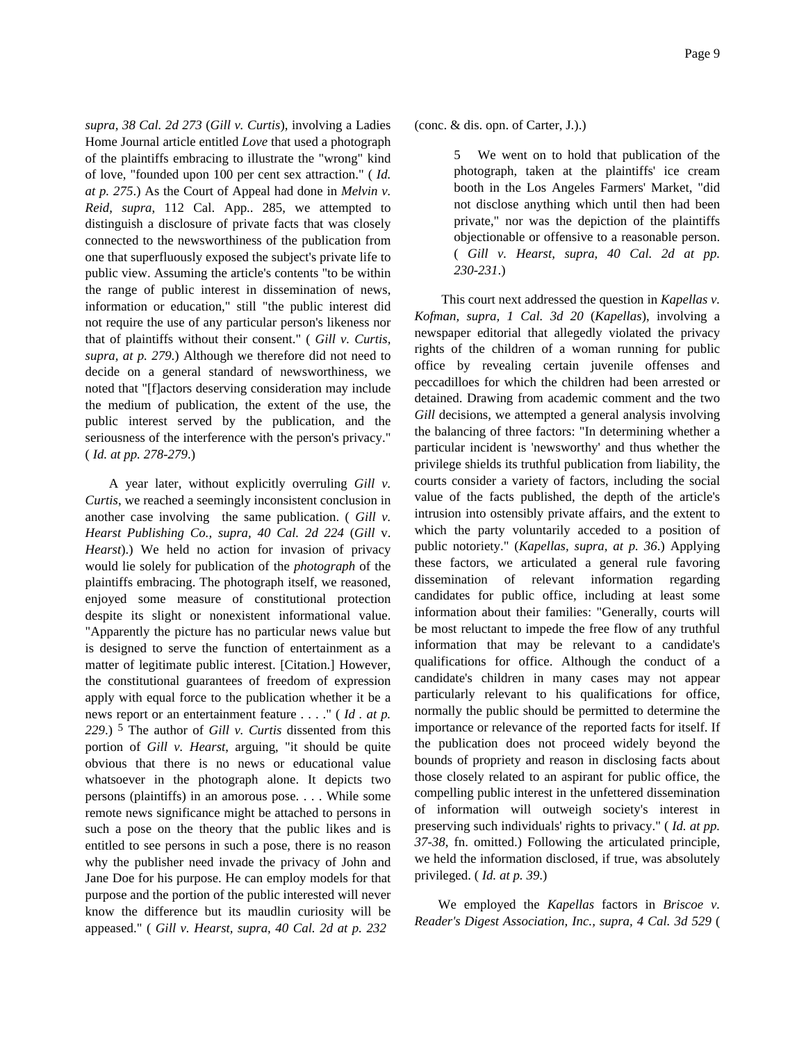*supra, 38 Cal. 2d 273* (*Gill v. Curtis*), involving a Ladies Home Journal article entitled *Love* that used a photograph of the plaintiffs embracing to illustrate the "wrong" kind of love, "founded upon 100 per cent sex attraction." ( *Id. at p. 275*.) As the Court of Appeal had done in *Melvin v. Reid*, *supra*, 112 Cal. App.. 285, we attempted to distinguish a disclosure of private facts that was closely connected to the newsworthiness of the publication from one that superfluously exposed the subject's private life to public view. Assuming the article's contents "to be within the range of public interest in dissemination of news, information or education," still "the public interest did not require the use of any particular person's likeness nor that of plaintiffs without their consent." ( *Gill v. Curtis, supra, at p. 279*.) Although we therefore did not need to decide on a general standard of newsworthiness, we noted that "[f]actors deserving consideration may include the medium of publication, the extent of the use, the public interest served by the publication, and the seriousness of the interference with the person's privacy." ( *Id. at pp. 278-279*.)

A year later, without explicitly overruling *Gill v. Curtis*, we reached a seemingly inconsistent conclusion in another case involving the same publication. ( *Gill v. Hearst Publishing Co., supra, 40 Cal. 2d 224* (*Gill* v. *Hearst*).) We held no action for invasion of privacy would lie solely for publication of the *photograph* of the plaintiffs embracing. The photograph itself, we reasoned, enjoyed some measure of constitutional protection despite its slight or nonexistent informational value. "Apparently the picture has no particular news value but is designed to serve the function of entertainment as a matter of legitimate public interest. [Citation.] However, the constitutional guarantees of freedom of expression apply with equal force to the publication whether it be a news report or an entertainment feature . . . ." ( *Id . at p. 229*.) 5 The author of *Gill v. Curtis* dissented from this portion of *Gill v. Hearst*, arguing, "it should be quite obvious that there is no news or educational value whatsoever in the photograph alone. It depicts two persons (plaintiffs) in an amorous pose. . . . While some remote news significance might be attached to persons in such a pose on the theory that the public likes and is entitled to see persons in such a pose, there is no reason why the publisher need invade the privacy of John and Jane Doe for his purpose. He can employ models for that purpose and the portion of the public interested will never know the difference but its maudlin curiosity will be appeased." ( *Gill v. Hearst, supra, 40 Cal. 2d at p. 232*

(conc. & dis. opn. of Carter, J.).)

5 We went on to hold that publication of the photograph, taken at the plaintiffs' ice cream booth in the Los Angeles Farmers' Market, "did not disclose anything which until then had been private," nor was the depiction of the plaintiffs objectionable or offensive to a reasonable person. ( *Gill v. Hearst, supra, 40 Cal. 2d at pp. 230-231*.)

This court next addressed the question in *Kapellas v. Kofman, supra, 1 Cal. 3d 20* (*Kapellas*), involving a newspaper editorial that allegedly violated the privacy rights of the children of a woman running for public office by revealing certain juvenile offenses and peccadilloes for which the children had been arrested or detained. Drawing from academic comment and the two *Gill* decisions, we attempted a general analysis involving the balancing of three factors: "In determining whether a particular incident is 'newsworthy' and thus whether the privilege shields its truthful publication from liability, the courts consider a variety of factors, including the social value of the facts published, the depth of the article's intrusion into ostensibly private affairs, and the extent to which the party voluntarily acceded to a position of public notoriety." (*Kapellas, supra, at p. 36*.) Applying these factors, we articulated a general rule favoring dissemination of relevant information regarding candidates for public office, including at least some information about their families: "Generally, courts will be most reluctant to impede the free flow of any truthful information that may be relevant to a candidate's qualifications for office. Although the conduct of a candidate's children in many cases may not appear particularly relevant to his qualifications for office, normally the public should be permitted to determine the importance or relevance of the reported facts for itself. If the publication does not proceed widely beyond the bounds of propriety and reason in disclosing facts about those closely related to an aspirant for public office, the compelling public interest in the unfettered dissemination of information will outweigh society's interest in preserving such individuals' rights to privacy." ( *Id. at pp. 37-38*, fn. omitted.) Following the articulated principle, we held the information disclosed, if true, was absolutely privileged. ( *Id. at p. 39*.)

We employed the *Kapellas* factors in *Briscoe v. Reader's Digest Association, Inc., supra, 4 Cal. 3d 529* (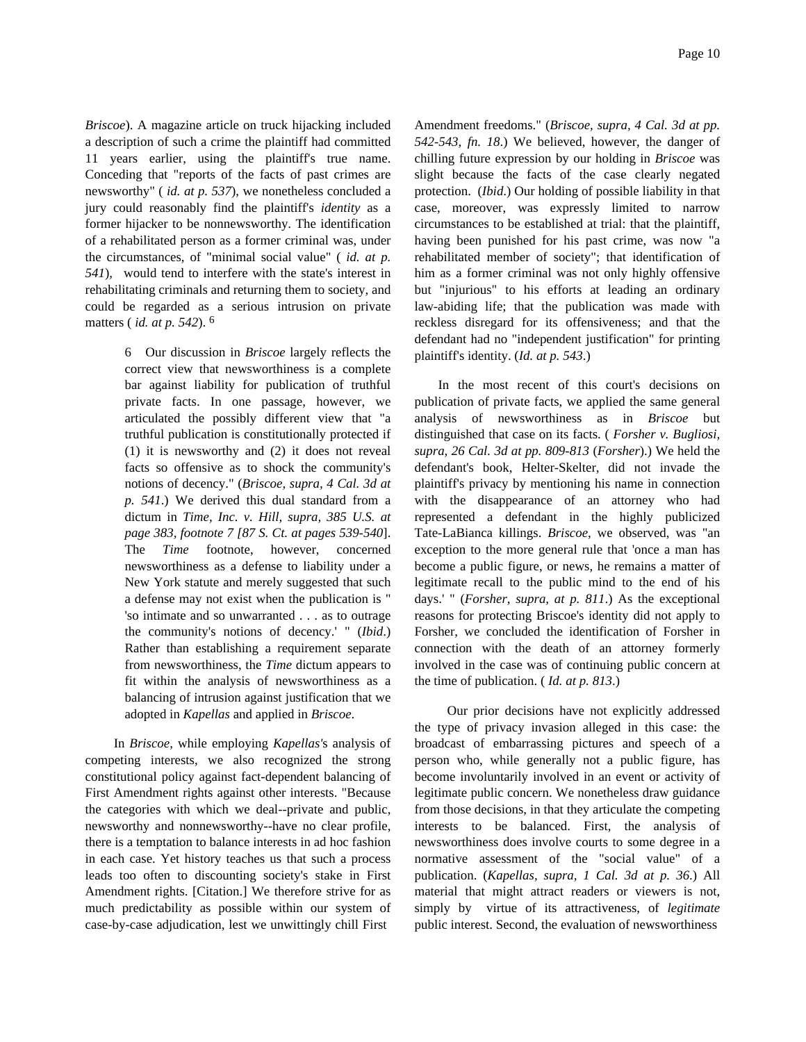*Briscoe*). A magazine article on truck hijacking included a description of such a crime the plaintiff had committed 11 years earlier, using the plaintiff's true name. Conceding that "reports of the facts of past crimes are newsworthy" ( *id. at p. 537*), we nonetheless concluded a jury could reasonably find the plaintiff's *identity* as a former hijacker to be nonnewsworthy. The identification of a rehabilitated person as a former criminal was, under the circumstances, of "minimal social value" ( *id. at p. 541*), would tend to interfere with the state's interest in rehabilitating criminals and returning them to society, and could be regarded as a serious intrusion on private matters ( *id. at p. 542*). 6

> 6 Our discussion in *Briscoe* largely reflects the correct view that newsworthiness is a complete bar against liability for publication of truthful private facts. In one passage, however, we articulated the possibly different view that "a truthful publication is constitutionally protected if (1) it is newsworthy and (2) it does not reveal facts so offensive as to shock the community's notions of decency." (*Briscoe, supra, 4 Cal. 3d at p. 541*.) We derived this dual standard from a dictum in *Time, Inc. v. Hill, supra, 385 U.S. at page 383, footnote 7 [87 S. Ct. at pages 539-540*]. The *Time* footnote, however, concerned newsworthiness as a defense to liability under a New York statute and merely suggested that such a defense may not exist when the publication is " 'so intimate and so unwarranted . . . as to outrage the community's notions of decency.' " (*Ibid*.) Rather than establishing a requirement separate from newsworthiness, the *Time* dictum appears to fit within the analysis of newsworthiness as a balancing of intrusion against justification that we adopted in *Kapellas* and applied in *Briscoe*.

In *Briscoe*, while employing *Kapellas'*s analysis of competing interests, we also recognized the strong constitutional policy against fact-dependent balancing of First Amendment rights against other interests. "Because the categories with which we deal--private and public, newsworthy and nonnewsworthy--have no clear profile, there is a temptation to balance interests in ad hoc fashion in each case. Yet history teaches us that such a process leads too often to discounting society's stake in First Amendment rights. [Citation.] We therefore strive for as much predictability as possible within our system of case-by-case adjudication, lest we unwittingly chill First

Amendment freedoms." (*Briscoe, supra, 4 Cal. 3d at pp. 542-543, fn. 18*.) We believed, however, the danger of chilling future expression by our holding in *Briscoe* was slight because the facts of the case clearly negated protection. (*Ibid*.) Our holding of possible liability in that case, moreover, was expressly limited to narrow circumstances to be established at trial: that the plaintiff, having been punished for his past crime, was now "a rehabilitated member of society"; that identification of him as a former criminal was not only highly offensive but "injurious" to his efforts at leading an ordinary law-abiding life; that the publication was made with reckless disregard for its offensiveness; and that the defendant had no "independent justification" for printing plaintiff's identity. (*Id. at p. 543*.)

In the most recent of this court's decisions on publication of private facts, we applied the same general analysis of newsworthiness as in *Briscoe* but distinguished that case on its facts. ( *Forsher v. Bugliosi, supra, 26 Cal. 3d at pp. 809-813* (*Forsher*).) We held the defendant's book, Helter-Skelter, did not invade the plaintiff's privacy by mentioning his name in connection with the disappearance of an attorney who had represented a defendant in the highly publicized Tate-LaBianca killings. *Briscoe*, we observed, was "an exception to the more general rule that 'once a man has become a public figure, or news, he remains a matter of legitimate recall to the public mind to the end of his days.' " (*Forsher, supra, at p. 811*.) As the exceptional reasons for protecting Briscoe's identity did not apply to Forsher, we concluded the identification of Forsher in connection with the death of an attorney formerly involved in the case was of continuing public concern at the time of publication. ( *Id. at p. 813*.)

Our prior decisions have not explicitly addressed the type of privacy invasion alleged in this case: the broadcast of embarrassing pictures and speech of a person who, while generally not a public figure, has become involuntarily involved in an event or activity of legitimate public concern. We nonetheless draw guidance from those decisions, in that they articulate the competing interests to be balanced. First, the analysis of newsworthiness does involve courts to some degree in a normative assessment of the "social value" of a publication. (*Kapellas, supra, 1 Cal. 3d at p. 36*.) All material that might attract readers or viewers is not, simply by virtue of its attractiveness, of *legitimate* public interest. Second, the evaluation of newsworthiness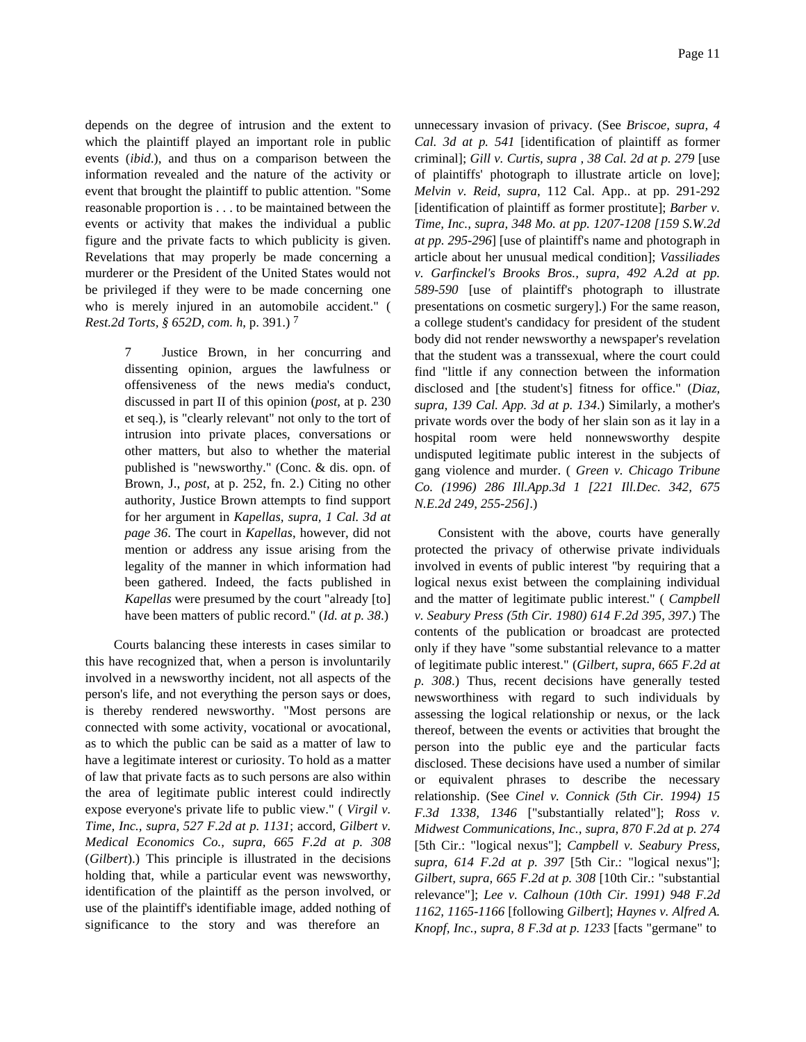depends on the degree of intrusion and the extent to which the plaintiff played an important role in public events (*ibid*.), and thus on a comparison between the information revealed and the nature of the activity or event that brought the plaintiff to public attention. "Some reasonable proportion is . . . to be maintained between the events or activity that makes the individual a public figure and the private facts to which publicity is given. Revelations that may properly be made concerning a murderer or the President of the United States would not be privileged if they were to be made concerning one who is merely injured in an automobile accident." ( *Rest.2d Torts, § 652D, com. h*, p. 391.) 7

> 7 Justice Brown, in her concurring and dissenting opinion, argues the lawfulness or offensiveness of the news media's conduct, discussed in part II of this opinion (*post*, at p. 230 et seq.), is "clearly relevant" not only to the tort of intrusion into private places, conversations or other matters, but also to whether the material published is "newsworthy." (Conc. & dis. opn. of Brown, J., *post*, at p. 252, fn. 2.) Citing no other authority, Justice Brown attempts to find support for her argument in *Kapellas, supra, 1 Cal. 3d at page 36*. The court in *Kapellas*, however, did not mention or address any issue arising from the legality of the manner in which information had been gathered. Indeed, the facts published in *Kapellas* were presumed by the court "already [to] have been matters of public record." (*Id. at p. 38*.)

Courts balancing these interests in cases similar to this have recognized that, when a person is involuntarily involved in a newsworthy incident, not all aspects of the person's life, and not everything the person says or does, is thereby rendered newsworthy. "Most persons are connected with some activity, vocational or avocational, as to which the public can be said as a matter of law to have a legitimate interest or curiosity. To hold as a matter of law that private facts as to such persons are also within the area of legitimate public interest could indirectly expose everyone's private life to public view." ( *Virgil v. Time, Inc., supra, 527 F.2d at p. 1131*; accord, *Gilbert v. Medical Economics Co., supra, 665 F.2d at p. 308* (*Gilbert*).) This principle is illustrated in the decisions holding that, while a particular event was newsworthy, identification of the plaintiff as the person involved, or use of the plaintiff's identifiable image, added nothing of significance to the story and was therefore an

unnecessary invasion of privacy. (See *Briscoe, supra, 4 Cal. 3d at p. 541* [identification of plaintiff as former criminal]; *Gill v. Curtis, supra , 38 Cal. 2d at p. 279* [use of plaintiffs' photograph to illustrate article on love]; *Melvin v. Reid*, *supra*, 112 Cal. App.. at pp. 291-292 [identification of plaintiff as former prostitute]; *Barber v. Time, Inc., supra, 348 Mo. at pp. 1207-1208 [159 S.W.2d at pp. 295-296*] [use of plaintiff's name and photograph in article about her unusual medical condition]; *Vassiliades v. Garfinckel's Brooks Bros., supra, 492 A.2d at pp. 589-590* [use of plaintiff's photograph to illustrate presentations on cosmetic surgery].) For the same reason, a college student's candidacy for president of the student body did not render newsworthy a newspaper's revelation that the student was a transsexual, where the court could find "little if any connection between the information disclosed and [the student's] fitness for office." (*Diaz, supra, 139 Cal. App. 3d at p. 134*.) Similarly, a mother's private words over the body of her slain son as it lay in a hospital room were held nonnewsworthy despite undisputed legitimate public interest in the subjects of gang violence and murder. ( *Green v. Chicago Tribune Co. (1996) 286 Ill.App.3d 1 [221 Ill.Dec. 342, 675 N.E.2d 249, 255-256]*.)

Consistent with the above, courts have generally protected the privacy of otherwise private individuals involved in events of public interest "by requiring that a logical nexus exist between the complaining individual and the matter of legitimate public interest." ( *Campbell v. Seabury Press (5th Cir. 1980) 614 F.2d 395, 397*.) The contents of the publication or broadcast are protected only if they have "some substantial relevance to a matter of legitimate public interest." (*Gilbert, supra, 665 F.2d at p. 308*.) Thus, recent decisions have generally tested newsworthiness with regard to such individuals by assessing the logical relationship or nexus, or the lack thereof, between the events or activities that brought the person into the public eye and the particular facts disclosed. These decisions have used a number of similar or equivalent phrases to describe the necessary relationship. (See *Cinel v. Connick (5th Cir. 1994) 15 F.3d 1338, 1346* ["substantially related"]; *Ross v. Midwest Communications, Inc., supra, 870 F.2d at p. 274* [5th Cir.: "logical nexus"]; *Campbell v. Seabury Press, supra, 614 F.2d at p. 397* [5th Cir.: "logical nexus"]; *Gilbert, supra, 665 F.2d at p. 308* [10th Cir.: "substantial relevance"]; *Lee v. Calhoun (10th Cir. 1991) 948 F.2d 1162, 1165-1166* [following *Gilbert*]; *Haynes v. Alfred A. Knopf, Inc., supra, 8 F.3d at p. 1233* [facts "germane" to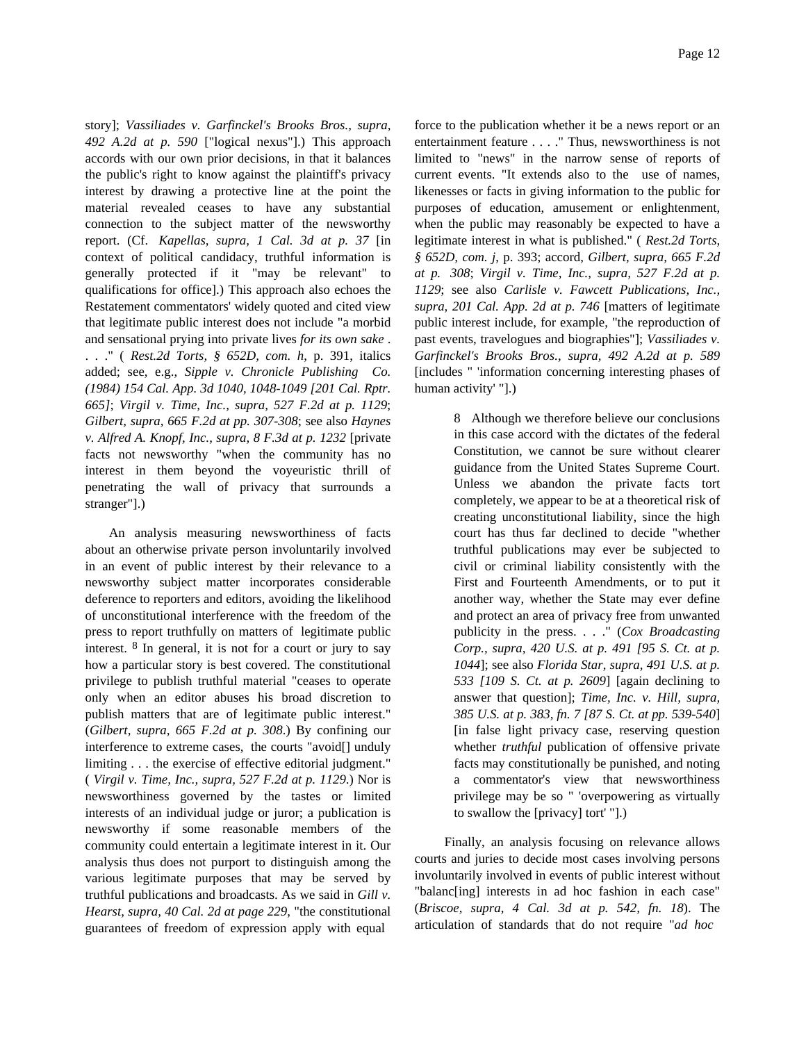story]; *Vassiliades v. Garfinckel's Brooks Bros., supra, 492 A.2d at p. 590* ["logical nexus"].) This approach accords with our own prior decisions, in that it balances the public's right to know against the plaintiff's privacy interest by drawing a protective line at the point the material revealed ceases to have any substantial connection to the subject matter of the newsworthy report. (Cf. *Kapellas, supra, 1 Cal. 3d at p. 37* [in context of political candidacy, truthful information is generally protected if it "may be relevant" to qualifications for office].) This approach also echoes the Restatement commentators' widely quoted and cited view that legitimate public interest does not include "a morbid and sensational prying into private lives *for its own sake* . . . ." ( *Rest.2d Torts, § 652D, com. h*, p. 391, italics added; see, e.g., *Sipple v. Chronicle Publishing Co. (1984) 154 Cal. App. 3d 1040, 1048-1049 [201 Cal. Rptr. 665]*; *Virgil v. Time, Inc., supra, 527 F.2d at p. 1129*; *Gilbert, supra, 665 F.2d at pp. 307-308*; see also *Haynes v. Alfred A. Knopf, Inc., supra, 8 F.3d at p. 1232* [private facts not newsworthy "when the community has no interest in them beyond the voyeuristic thrill of penetrating the wall of privacy that surrounds a stranger"].)

An analysis measuring newsworthiness of facts about an otherwise private person involuntarily involved in an event of public interest by their relevance to a newsworthy subject matter incorporates considerable deference to reporters and editors, avoiding the likelihood of unconstitutional interference with the freedom of the press to report truthfully on matters of legitimate public interest. 8 In general, it is not for a court or jury to say how a particular story is best covered. The constitutional privilege to publish truthful material "ceases to operate only when an editor abuses his broad discretion to publish matters that are of legitimate public interest." (*Gilbert, supra, 665 F.2d at p. 308*.) By confining our interference to extreme cases, the courts "avoid[] unduly limiting . . . the exercise of effective editorial judgment." ( *Virgil v. Time, Inc., supra, 527 F.2d at p. 1129*.) Nor is newsworthiness governed by the tastes or limited interests of an individual judge or juror; a publication is newsworthy if some reasonable members of the community could entertain a legitimate interest in it. Our analysis thus does not purport to distinguish among the various legitimate purposes that may be served by truthful publications and broadcasts. As we said in *Gill v. Hearst, supra, 40 Cal. 2d at page 229*, "the constitutional guarantees of freedom of expression apply with equal

force to the publication whether it be a news report or an entertainment feature . . . ." Thus, newsworthiness is not limited to "news" in the narrow sense of reports of current events. "It extends also to the use of names, likenesses or facts in giving information to the public for purposes of education, amusement or enlightenment, when the public may reasonably be expected to have a legitimate interest in what is published." ( *Rest.2d Torts, § 652D, com. j*, p. 393; accord, *Gilbert, supra, 665 F.2d at p. 308*; *Virgil v. Time, Inc., supra, 527 F.2d at p. 1129*; see also *Carlisle v. Fawcett Publications, Inc., supra, 201 Cal. App. 2d at p. 746* [matters of legitimate public interest include, for example, "the reproduction of past events, travelogues and biographies"]; *Vassiliades v. Garfinckel's Brooks Bros., supra, 492 A.2d at p. 589* [includes " 'information concerning interesting phases of human activity' "].)

> 8 Although we therefore believe our conclusions in this case accord with the dictates of the federal Constitution, we cannot be sure without clearer guidance from the United States Supreme Court. Unless we abandon the private facts tort completely, we appear to be at a theoretical risk of creating unconstitutional liability, since the high court has thus far declined to decide "whether truthful publications may ever be subjected to civil or criminal liability consistently with the First and Fourteenth Amendments, or to put it another way, whether the State may ever define and protect an area of privacy free from unwanted publicity in the press. . . ." (*Cox Broadcasting Corp., supra, 420 U.S. at p. 491 [95 S. Ct. at p. 1044*]; see also *Florida Star, supra, 491 U.S. at p. 533 [109 S. Ct. at p. 2609*] [again declining to answer that question]; *Time, Inc. v. Hill, supra, 385 U.S. at p. 383, fn. 7 [87 S. Ct. at pp. 539-540*] [in false light privacy case, reserving question whether *truthful* publication of offensive private facts may constitutionally be punished, and noting a commentator's view that newsworthiness privilege may be so " 'overpowering as virtually to swallow the [privacy] tort' "].)

Finally, an analysis focusing on relevance allows courts and juries to decide most cases involving persons involuntarily involved in events of public interest without "balanc[ing] interests in ad hoc fashion in each case" (*Briscoe, supra, 4 Cal. 3d at p. 542, fn. 18*). The articulation of standards that do not require "*ad hoc*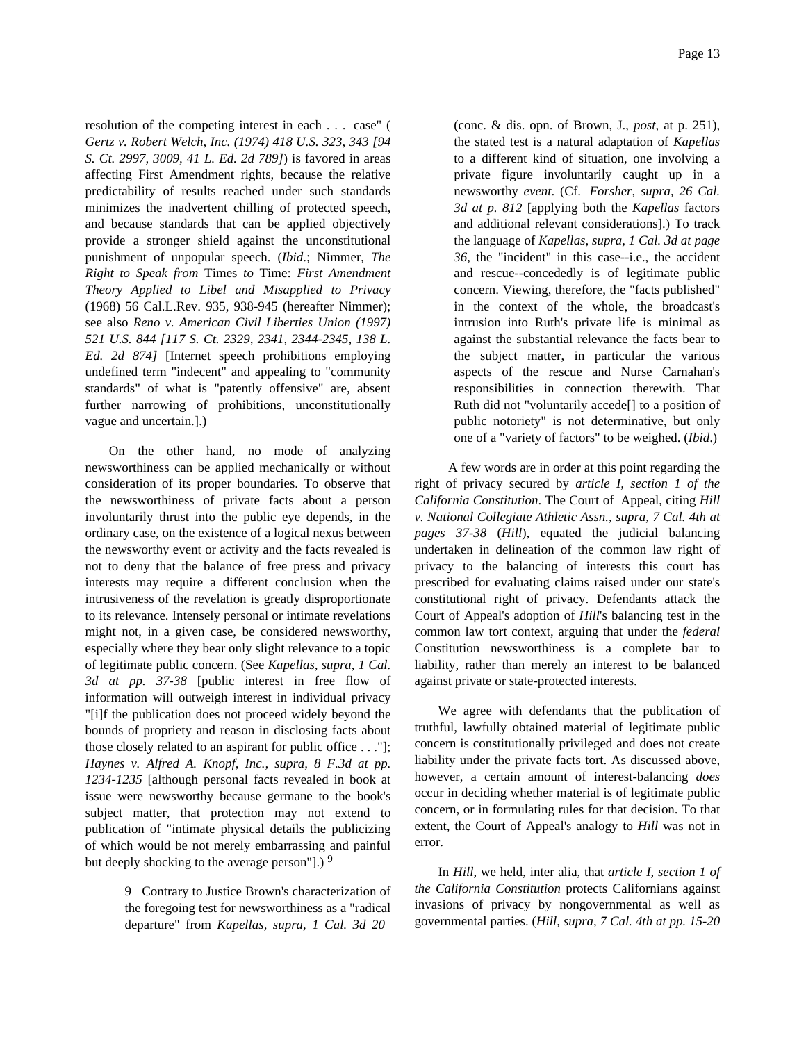resolution of the competing interest in each . . . case" ( *Gertz v. Robert Welch, Inc. (1974) 418 U.S. 323, 343 [94 S. Ct. 2997, 3009, 41 L. Ed. 2d 789]*) is favored in areas affecting First Amendment rights, because the relative predictability of results reached under such standards minimizes the inadvertent chilling of protected speech, and because standards that can be applied objectively provide a stronger shield against the unconstitutional punishment of unpopular speech. (*Ibid*.; Nimmer, *The Right to Speak from* Times *to* Time: *First Amendment Theory Applied to Libel and Misapplied to Privacy* (1968) 56 Cal.L.Rev. 935, 938-945 (hereafter Nimmer); see also *Reno v. American Civil Liberties Union (1997) 521 U.S. 844 [117 S. Ct. 2329, 2341, 2344-2345, 138 L. Ed. 2d 874]* [Internet speech prohibitions employing undefined term "indecent" and appealing to "community standards" of what is "patently offensive" are, absent further narrowing of prohibitions, unconstitutionally vague and uncertain.].)

On the other hand, no mode of analyzing newsworthiness can be applied mechanically or without consideration of its proper boundaries. To observe that the newsworthiness of private facts about a person involuntarily thrust into the public eye depends, in the ordinary case, on the existence of a logical nexus between the newsworthy event or activity and the facts revealed is not to deny that the balance of free press and privacy interests may require a different conclusion when the intrusiveness of the revelation is greatly disproportionate to its relevance. Intensely personal or intimate revelations might not, in a given case, be considered newsworthy, especially where they bear only slight relevance to a topic of legitimate public concern. (See *Kapellas, supra, 1 Cal. 3d at pp. 37-38* [public interest in free flow of information will outweigh interest in individual privacy "[i]f the publication does not proceed widely beyond the bounds of propriety and reason in disclosing facts about those closely related to an aspirant for public office . . ."]; *Haynes v. Alfred A. Knopf, Inc., supra, 8 F.3d at pp. 1234-1235* [although personal facts revealed in book at issue were newsworthy because germane to the book's subject matter, that protection may not extend to publication of "intimate physical details the publicizing of which would be not merely embarrassing and painful but deeply shocking to the average person"].) <sup>9</sup>

> 9 Contrary to Justice Brown's characterization of the foregoing test for newsworthiness as a "radical departure" from *Kapellas, supra, 1 Cal. 3d 20*

(conc. & dis. opn. of Brown, J., *post*, at p. 251), the stated test is a natural adaptation of *Kapellas* to a different kind of situation, one involving a private figure involuntarily caught up in a newsworthy *event*. (Cf. *Forsher, supra, 26 Cal. 3d at p. 812* [applying both the *Kapellas* factors and additional relevant considerations].) To track the language of *Kapellas, supra, 1 Cal. 3d at page 36*, the "incident" in this case--i.e., the accident and rescue--concededly is of legitimate public concern. Viewing, therefore, the "facts published" in the context of the whole, the broadcast's intrusion into Ruth's private life is minimal as against the substantial relevance the facts bear to the subject matter, in particular the various aspects of the rescue and Nurse Carnahan's responsibilities in connection therewith. That Ruth did not "voluntarily accede[] to a position of public notoriety" is not determinative, but only one of a "variety of factors" to be weighed. (*Ibid*.)

A few words are in order at this point regarding the right of privacy secured by *article I, section 1 of the California Constitution*. The Court of Appeal, citing *Hill v. National Collegiate Athletic Assn., supra, 7 Cal. 4th at pages 37-38* (*Hill*), equated the judicial balancing undertaken in delineation of the common law right of privacy to the balancing of interests this court has prescribed for evaluating claims raised under our state's constitutional right of privacy. Defendants attack the Court of Appeal's adoption of *Hill*'s balancing test in the common law tort context, arguing that under the *federal* Constitution newsworthiness is a complete bar to liability, rather than merely an interest to be balanced against private or state-protected interests.

We agree with defendants that the publication of truthful, lawfully obtained material of legitimate public concern is constitutionally privileged and does not create liability under the private facts tort. As discussed above, however, a certain amount of interest-balancing *does* occur in deciding whether material is of legitimate public concern, or in formulating rules for that decision. To that extent, the Court of Appeal's analogy to *Hill* was not in error.

In *Hill*, we held, inter alia, that *article I, section 1 of the California Constitution* protects Californians against invasions of privacy by nongovernmental as well as governmental parties. (*Hill, supra, 7 Cal. 4th at pp. 15-20*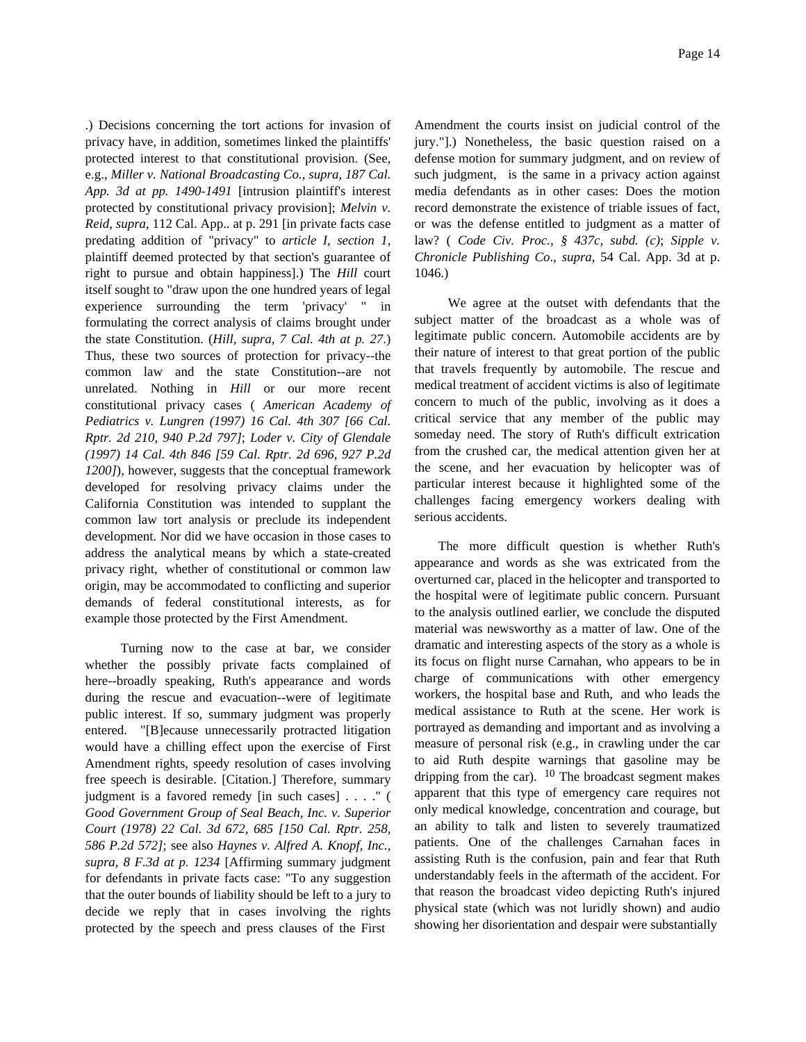.) Decisions concerning the tort actions for invasion of privacy have, in addition, sometimes linked the plaintiffs' protected interest to that constitutional provision. (See, e.g., *Miller v. National Broadcasting Co., supra, 187 Cal. App. 3d at pp. 1490-1491* [intrusion plaintiff's interest protected by constitutional privacy provision]; *Melvin v. Reid*, *supra*, 112 Cal. App.. at p. 291 [in private facts case predating addition of "privacy" to *article I, section 1*, plaintiff deemed protected by that section's guarantee of right to pursue and obtain happiness].) The *Hill* court itself sought to "draw upon the one hundred years of legal experience surrounding the term 'privacy' " in formulating the correct analysis of claims brought under the state Constitution. (*Hill, supra, 7 Cal. 4th at p. 27*.) Thus, these two sources of protection for privacy--the common law and the state Constitution--are not unrelated. Nothing in *Hill* or our more recent constitutional privacy cases ( *American Academy of Pediatrics v. Lungren (1997) 16 Cal. 4th 307 [66 Cal. Rptr. 2d 210, 940 P.2d 797]*; *Loder v. City of Glendale (1997) 14 Cal. 4th 846 [59 Cal. Rptr. 2d 696, 927 P.2d 1200]*), however, suggests that the conceptual framework developed for resolving privacy claims under the California Constitution was intended to supplant the common law tort analysis or preclude its independent development. Nor did we have occasion in those cases to address the analytical means by which a state-created privacy right, whether of constitutional or common law origin, may be accommodated to conflicting and superior demands of federal constitutional interests, as for example those protected by the First Amendment.

Turning now to the case at bar, we consider whether the possibly private facts complained of here--broadly speaking, Ruth's appearance and words during the rescue and evacuation--were of legitimate public interest. If so, summary judgment was properly entered. "[B]ecause unnecessarily protracted litigation would have a chilling effect upon the exercise of First Amendment rights, speedy resolution of cases involving free speech is desirable. [Citation.] Therefore, summary judgment is a favored remedy [in such cases] . . . ." ( *Good Government Group of Seal Beach, Inc. v. Superior Court (1978) 22 Cal. 3d 672, 685 [150 Cal. Rptr. 258, 586 P.2d 572]*; see also *Haynes v. Alfred A. Knopf, Inc., supra, 8 F.3d at p. 1234* [Affirming summary judgment for defendants in private facts case: "To any suggestion that the outer bounds of liability should be left to a jury to decide we reply that in cases involving the rights protected by the speech and press clauses of the First

Amendment the courts insist on judicial control of the jury."].) Nonetheless, the basic question raised on a defense motion for summary judgment, and on review of such judgment, is the same in a privacy action against media defendants as in other cases: Does the motion record demonstrate the existence of triable issues of fact, or was the defense entitled to judgment as a matter of law? ( *Code Civ. Proc., § 437c, subd. (c)*; *Sipple v. Chronicle Publishing Co*., *supra*, 54 Cal. App. 3d at p. 1046.)

We agree at the outset with defendants that the subject matter of the broadcast as a whole was of legitimate public concern. Automobile accidents are by their nature of interest to that great portion of the public that travels frequently by automobile. The rescue and medical treatment of accident victims is also of legitimate concern to much of the public, involving as it does a critical service that any member of the public may someday need. The story of Ruth's difficult extrication from the crushed car, the medical attention given her at the scene, and her evacuation by helicopter was of particular interest because it highlighted some of the challenges facing emergency workers dealing with serious accidents.

The more difficult question is whether Ruth's appearance and words as she was extricated from the overturned car, placed in the helicopter and transported to the hospital were of legitimate public concern. Pursuant to the analysis outlined earlier, we conclude the disputed material was newsworthy as a matter of law. One of the dramatic and interesting aspects of the story as a whole is its focus on flight nurse Carnahan, who appears to be in charge of communications with other emergency workers, the hospital base and Ruth, and who leads the medical assistance to Ruth at the scene. Her work is portrayed as demanding and important and as involving a measure of personal risk (e.g., in crawling under the car to aid Ruth despite warnings that gasoline may be dripping from the car).  $10$  The broadcast segment makes apparent that this type of emergency care requires not only medical knowledge, concentration and courage, but an ability to talk and listen to severely traumatized patients. One of the challenges Carnahan faces in assisting Ruth is the confusion, pain and fear that Ruth understandably feels in the aftermath of the accident. For that reason the broadcast video depicting Ruth's injured physical state (which was not luridly shown) and audio showing her disorientation and despair were substantially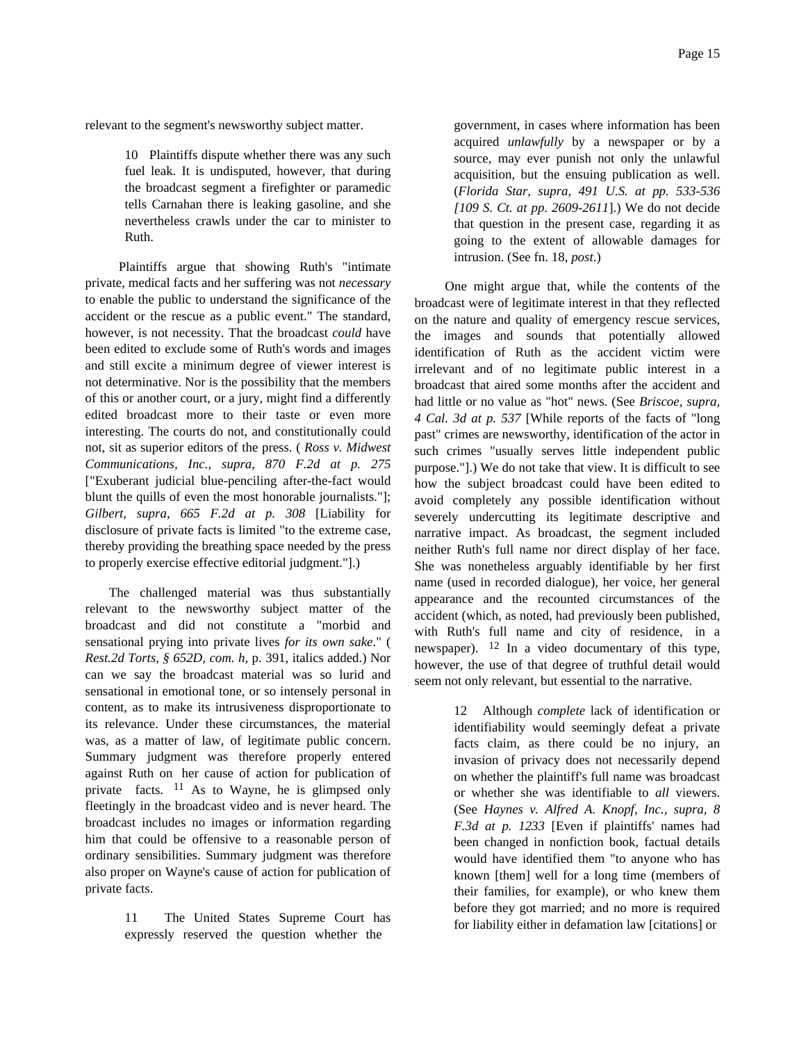relevant to the segment's newsworthy subject matter.

10 Plaintiffs dispute whether there was any such fuel leak. It is undisputed, however, that during the broadcast segment a firefighter or paramedic tells Carnahan there is leaking gasoline, and she nevertheless crawls under the car to minister to Ruth.

Plaintiffs argue that showing Ruth's "intimate private, medical facts and her suffering was not *necessary* to enable the public to understand the significance of the accident or the rescue as a public event." The standard, however, is not necessity. That the broadcast *could* have been edited to exclude some of Ruth's words and images and still excite a minimum degree of viewer interest is not determinative. Nor is the possibility that the members of this or another court, or a jury, might find a differently edited broadcast more to their taste or even more interesting. The courts do not, and constitutionally could not, sit as superior editors of the press. ( *Ross v. Midwest Communications, Inc., supra, 870 F.2d at p. 275* ["Exuberant judicial blue-penciling after-the-fact would blunt the quills of even the most honorable journalists."]; *Gilbert, supra, 665 F.2d at p. 308* [Liability for disclosure of private facts is limited "to the extreme case, thereby providing the breathing space needed by the press to properly exercise effective editorial judgment."].)

The challenged material was thus substantially relevant to the newsworthy subject matter of the broadcast and did not constitute a "morbid and sensational prying into private lives *for its own sake*." ( *Rest.2d Torts, § 652D, com. h*, p. 391, italics added.) Nor can we say the broadcast material was so lurid and sensational in emotional tone, or so intensely personal in content, as to make its intrusiveness disproportionate to its relevance. Under these circumstances, the material was, as a matter of law, of legitimate public concern. Summary judgment was therefore properly entered against Ruth on her cause of action for publication of private facts.  $11$  As to Wayne, he is glimpsed only fleetingly in the broadcast video and is never heard. The broadcast includes no images or information regarding him that could be offensive to a reasonable person of ordinary sensibilities. Summary judgment was therefore also proper on Wayne's cause of action for publication of private facts.

> 11 The United States Supreme Court has expressly reserved the question whether the

government, in cases where information has been acquired *unlawfully* by a newspaper or by a source, may ever punish not only the unlawful acquisition, but the ensuing publication as well. (*Florida Star, supra, 491 U.S. at pp. 533-536 [109 S. Ct. at pp. 2609-2611*].) We do not decide that question in the present case, regarding it as going to the extent of allowable damages for intrusion. (See fn. 18, *post*.)

One might argue that, while the contents of the broadcast were of legitimate interest in that they reflected on the nature and quality of emergency rescue services, the images and sounds that potentially allowed identification of Ruth as the accident victim were irrelevant and of no legitimate public interest in a broadcast that aired some months after the accident and had little or no value as "hot" news. (See *Briscoe, supra, 4 Cal. 3d at p. 537* [While reports of the facts of "long past" crimes are newsworthy, identification of the actor in such crimes "usually serves little independent public purpose."].) We do not take that view. It is difficult to see how the subject broadcast could have been edited to avoid completely any possible identification without severely undercutting its legitimate descriptive and narrative impact. As broadcast, the segment included neither Ruth's full name nor direct display of her face. She was nonetheless arguably identifiable by her first name (used in recorded dialogue), her voice, her general appearance and the recounted circumstances of the accident (which, as noted, had previously been published, with Ruth's full name and city of residence, in a newspaper).  $12 \text{ In a video documentary of this type,}$ however, the use of that degree of truthful detail would seem not only relevant, but essential to the narrative.

> 12 Although *complete* lack of identification or identifiability would seemingly defeat a private facts claim, as there could be no injury, an invasion of privacy does not necessarily depend on whether the plaintiff's full name was broadcast or whether she was identifiable to *all* viewers. (See *Haynes v. Alfred A. Knopf, Inc., supra, 8 F.3d at p. 1233* [Even if plaintiffs' names had been changed in nonfiction book, factual details would have identified them "to anyone who has known [them] well for a long time (members of their families, for example), or who knew them before they got married; and no more is required for liability either in defamation law [citations] or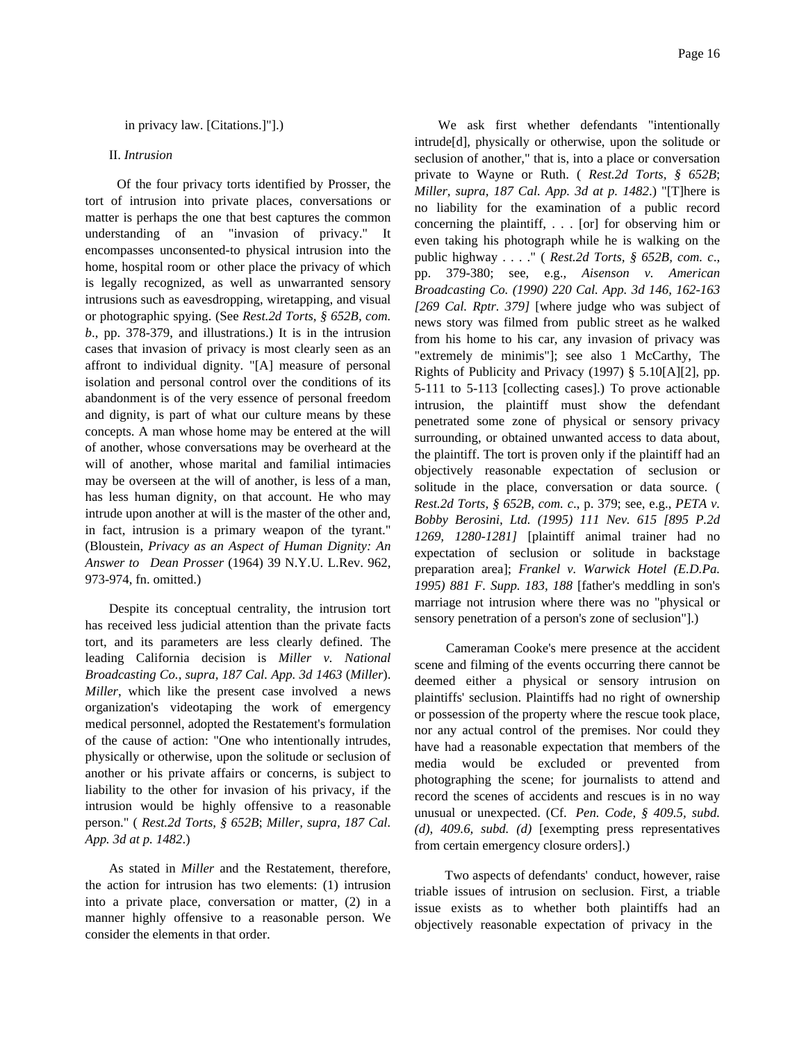in privacy law. [Citations.]"].)

#### II. *Intrusion*

Of the four privacy torts identified by Prosser, the tort of intrusion into private places, conversations or matter is perhaps the one that best captures the common understanding of an "invasion of privacy." It encompasses unconsented-to physical intrusion into the home, hospital room or other place the privacy of which is legally recognized, as well as unwarranted sensory intrusions such as eavesdropping, wiretapping, and visual or photographic spying. (See *Rest.2d Torts, § 652B, com. b*., pp. 378-379, and illustrations.) It is in the intrusion cases that invasion of privacy is most clearly seen as an affront to individual dignity. "[A] measure of personal isolation and personal control over the conditions of its abandonment is of the very essence of personal freedom and dignity, is part of what our culture means by these concepts. A man whose home may be entered at the will of another, whose conversations may be overheard at the will of another, whose marital and familial intimacies may be overseen at the will of another, is less of a man, has less human dignity, on that account. He who may intrude upon another at will is the master of the other and, in fact, intrusion is a primary weapon of the tyrant." (Bloustein, *Privacy as an Aspect of Human Dignity: An Answer to Dean Prosser* (1964) 39 N.Y.U. L.Rev. 962, 973-974, fn. omitted.)

Despite its conceptual centrality, the intrusion tort has received less judicial attention than the private facts tort, and its parameters are less clearly defined. The leading California decision is *Miller v. National Broadcasting Co., supra, 187 Cal. App. 3d 1463* (*Miller*). *Miller*, which like the present case involved a news organization's videotaping the work of emergency medical personnel, adopted the Restatement's formulation of the cause of action: "One who intentionally intrudes, physically or otherwise, upon the solitude or seclusion of another or his private affairs or concerns, is subject to liability to the other for invasion of his privacy, if the intrusion would be highly offensive to a reasonable person." ( *Rest.2d Torts, § 652B*; *Miller, supra, 187 Cal. App. 3d at p. 1482*.)

As stated in *Miller* and the Restatement, therefore, the action for intrusion has two elements: (1) intrusion into a private place, conversation or matter, (2) in a manner highly offensive to a reasonable person. We consider the elements in that order.

We ask first whether defendants "intentionally intrude[d], physically or otherwise, upon the solitude or seclusion of another," that is, into a place or conversation private to Wayne or Ruth. ( *Rest.2d Torts, § 652B*; *Miller, supra, 187 Cal. App. 3d at p. 1482*.) "[T]here is no liability for the examination of a public record concerning the plaintiff, . . . [or] for observing him or even taking his photograph while he is walking on the public highway . . . ." ( *Rest.2d Torts, § 652B, com. c*., pp. 379-380; see, e.g., *Aisenson v. American Broadcasting Co. (1990) 220 Cal. App. 3d 146, 162-163 [269 Cal. Rptr. 379]* [where judge who was subject of news story was filmed from public street as he walked from his home to his car, any invasion of privacy was "extremely de minimis"]; see also 1 McCarthy, The Rights of Publicity and Privacy (1997) § 5.10[A][2], pp. 5-111 to 5-113 [collecting cases].) To prove actionable intrusion, the plaintiff must show the defendant penetrated some zone of physical or sensory privacy surrounding, or obtained unwanted access to data about, the plaintiff. The tort is proven only if the plaintiff had an objectively reasonable expectation of seclusion or solitude in the place, conversation or data source. ( *Rest.2d Torts, § 652B, com. c*., p. 379; see, e.g., *PETA v. Bobby Berosini, Ltd. (1995) 111 Nev. 615 [895 P.2d 1269, 1280-1281]* [plaintiff animal trainer had no expectation of seclusion or solitude in backstage preparation area]; *Frankel v. Warwick Hotel (E.D.Pa. 1995) 881 F. Supp. 183, 188* [father's meddling in son's marriage not intrusion where there was no "physical or sensory penetration of a person's zone of seclusion"].)

Cameraman Cooke's mere presence at the accident scene and filming of the events occurring there cannot be deemed either a physical or sensory intrusion on plaintiffs' seclusion. Plaintiffs had no right of ownership or possession of the property where the rescue took place, nor any actual control of the premises. Nor could they have had a reasonable expectation that members of the media would be excluded or prevented from photographing the scene; for journalists to attend and record the scenes of accidents and rescues is in no way unusual or unexpected. (Cf. *Pen. Code, § 409.5, subd. (d)*, *409.6, subd. (d)* [exempting press representatives from certain emergency closure orders].)

Two aspects of defendants' conduct, however, raise triable issues of intrusion on seclusion. First, a triable issue exists as to whether both plaintiffs had an objectively reasonable expectation of privacy in the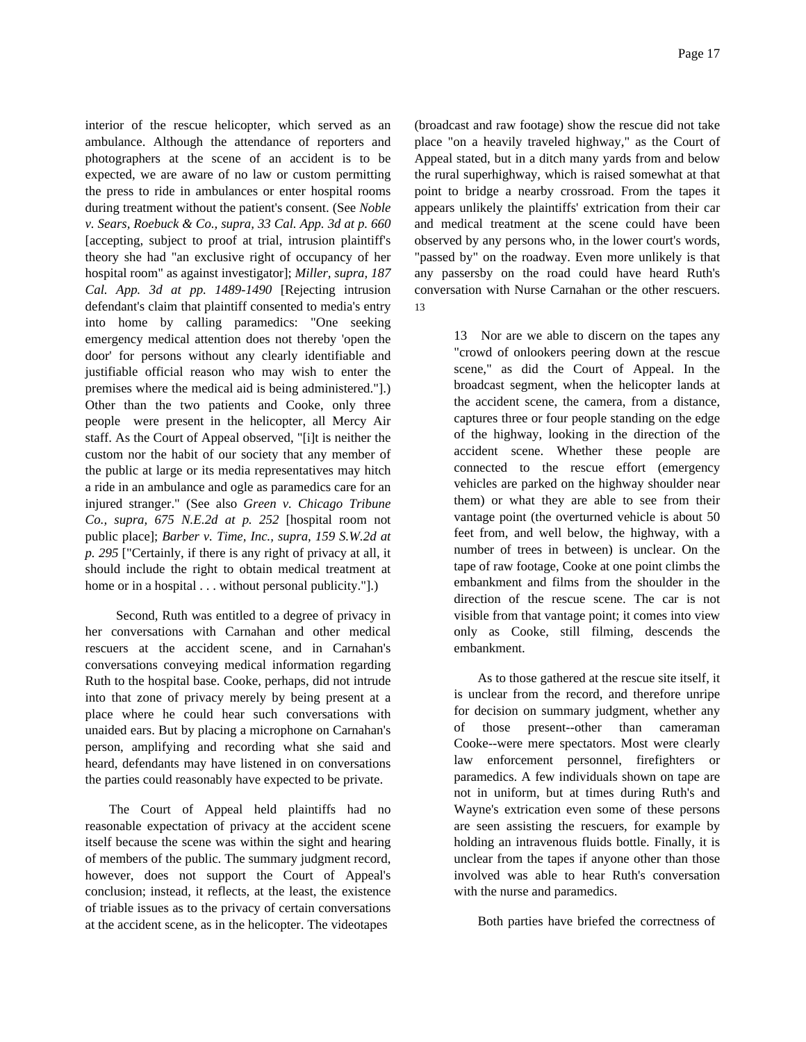interior of the rescue helicopter, which served as an ambulance. Although the attendance of reporters and photographers at the scene of an accident is to be expected, we are aware of no law or custom permitting the press to ride in ambulances or enter hospital rooms during treatment without the patient's consent. (See *Noble v. Sears, Roebuck & Co., supra, 33 Cal. App. 3d at p. 660* [accepting, subject to proof at trial, intrusion plaintiff's theory she had "an exclusive right of occupancy of her hospital room" as against investigator]; *Miller, supra, 187 Cal. App. 3d at pp. 1489-1490* [Rejecting intrusion defendant's claim that plaintiff consented to media's entry into home by calling paramedics: "One seeking emergency medical attention does not thereby 'open the door' for persons without any clearly identifiable and justifiable official reason who may wish to enter the premises where the medical aid is being administered."].) Other than the two patients and Cooke, only three people were present in the helicopter, all Mercy Air staff. As the Court of Appeal observed, "[i]t is neither the custom nor the habit of our society that any member of the public at large or its media representatives may hitch a ride in an ambulance and ogle as paramedics care for an injured stranger." (See also *Green v. Chicago Tribune Co., supra, 675 N.E.2d at p. 252* [hospital room not public place]; *Barber v. Time, Inc., supra, 159 S.W.2d at p. 295* ["Certainly, if there is any right of privacy at all, it should include the right to obtain medical treatment at home or in a hospital . . . without personal publicity."].)

Second, Ruth was entitled to a degree of privacy in her conversations with Carnahan and other medical rescuers at the accident scene, and in Carnahan's conversations conveying medical information regarding Ruth to the hospital base. Cooke, perhaps, did not intrude into that zone of privacy merely by being present at a place where he could hear such conversations with unaided ears. But by placing a microphone on Carnahan's person, amplifying and recording what she said and heard, defendants may have listened in on conversations the parties could reasonably have expected to be private.

The Court of Appeal held plaintiffs had no reasonable expectation of privacy at the accident scene itself because the scene was within the sight and hearing of members of the public. The summary judgment record, however, does not support the Court of Appeal's conclusion; instead, it reflects, at the least, the existence of triable issues as to the privacy of certain conversations at the accident scene, as in the helicopter. The videotapes

(broadcast and raw footage) show the rescue did not take place "on a heavily traveled highway," as the Court of Appeal stated, but in a ditch many yards from and below the rural superhighway, which is raised somewhat at that point to bridge a nearby crossroad. From the tapes it appears unlikely the plaintiffs' extrication from their car and medical treatment at the scene could have been observed by any persons who, in the lower court's words, "passed by" on the roadway. Even more unlikely is that any passersby on the road could have heard Ruth's conversation with Nurse Carnahan or the other rescuers. 13

> 13 Nor are we able to discern on the tapes any "crowd of onlookers peering down at the rescue scene," as did the Court of Appeal. In the broadcast segment, when the helicopter lands at the accident scene, the camera, from a distance, captures three or four people standing on the edge of the highway, looking in the direction of the accident scene. Whether these people are connected to the rescue effort (emergency vehicles are parked on the highway shoulder near them) or what they are able to see from their vantage point (the overturned vehicle is about 50 feet from, and well below, the highway, with a number of trees in between) is unclear. On the tape of raw footage, Cooke at one point climbs the embankment and films from the shoulder in the direction of the rescue scene. The car is not visible from that vantage point; it comes into view only as Cooke, still filming, descends the embankment.

> As to those gathered at the rescue site itself, it is unclear from the record, and therefore unripe for decision on summary judgment, whether any of those present--other than cameraman Cooke--were mere spectators. Most were clearly law enforcement personnel, firefighters or paramedics. A few individuals shown on tape are not in uniform, but at times during Ruth's and Wayne's extrication even some of these persons are seen assisting the rescuers, for example by holding an intravenous fluids bottle. Finally, it is unclear from the tapes if anyone other than those involved was able to hear Ruth's conversation with the nurse and paramedics.

Both parties have briefed the correctness of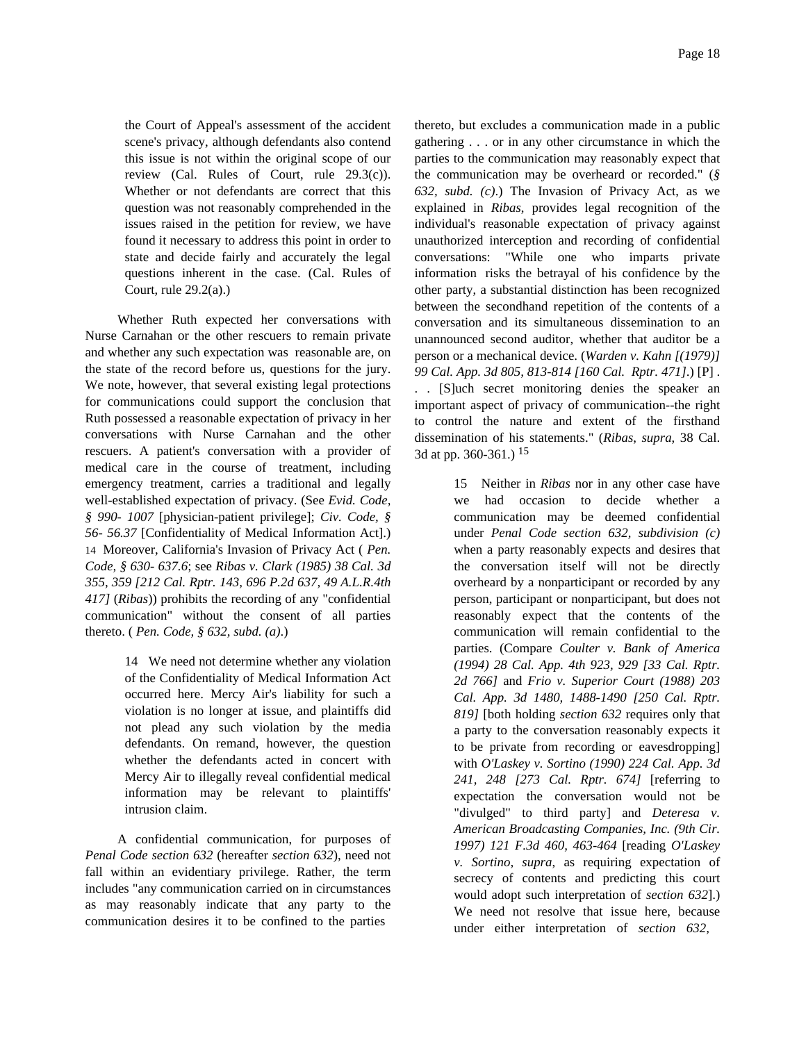the Court of Appeal's assessment of the accident scene's privacy, although defendants also contend this issue is not within the original scope of our review (Cal. Rules of Court, rule 29.3(c)). Whether or not defendants are correct that this question was not reasonably comprehended in the issues raised in the petition for review, we have found it necessary to address this point in order to state and decide fairly and accurately the legal questions inherent in the case. (Cal. Rules of Court, rule 29.2(a).)

Whether Ruth expected her conversations with Nurse Carnahan or the other rescuers to remain private and whether any such expectation was reasonable are, on the state of the record before us, questions for the jury. We note, however, that several existing legal protections for communications could support the conclusion that Ruth possessed a reasonable expectation of privacy in her conversations with Nurse Carnahan and the other rescuers. A patient's conversation with a provider of medical care in the course of treatment, including emergency treatment, carries a traditional and legally well-established expectation of privacy. (See *Evid. Code, § 990- 1007* [physician-patient privilege]; *Civ. Code, § 56- 56.37* [Confidentiality of Medical Information Act].) 14 Moreover, California's Invasion of Privacy Act ( *Pen. Code, § 630- 637.6*; see *Ribas v. Clark (1985) 38 Cal. 3d 355, 359 [212 Cal. Rptr. 143, 696 P.2d 637, 49 A.L.R.4th 417]* (*Ribas*)) prohibits the recording of any "confidential communication" without the consent of all parties thereto. ( *Pen. Code, § 632, subd. (a)*.)

> 14 We need not determine whether any violation of the Confidentiality of Medical Information Act occurred here. Mercy Air's liability for such a violation is no longer at issue, and plaintiffs did not plead any such violation by the media defendants. On remand, however, the question whether the defendants acted in concert with Mercy Air to illegally reveal confidential medical information may be relevant to plaintiffs' intrusion claim.

A confidential communication, for purposes of *Penal Code section 632* (hereafter *section 632*), need not fall within an evidentiary privilege. Rather, the term includes "any communication carried on in circumstances as may reasonably indicate that any party to the communication desires it to be confined to the parties

thereto, but excludes a communication made in a public gathering . . . or in any other circumstance in which the parties to the communication may reasonably expect that the communication may be overheard or recorded." (*§ 632, subd. (c)*.) The Invasion of Privacy Act, as we explained in *Ribas*, provides legal recognition of the individual's reasonable expectation of privacy against unauthorized interception and recording of confidential conversations: "While one who imparts private information risks the betrayal of his confidence by the other party, a substantial distinction has been recognized between the secondhand repetition of the contents of a conversation and its simultaneous dissemination to an unannounced second auditor, whether that auditor be a person or a mechanical device. (*Warden v. Kahn [(1979)] 99 Cal. App. 3d 805, 813-814 [160 Cal. Rptr. 471]*.) [P] .

. . [S]uch secret monitoring denies the speaker an important aspect of privacy of communication--the right to control the nature and extent of the firsthand dissemination of his statements." (*Ribas*, *supra*, 38 Cal. 3d at pp. 360-361.) 15

> 15 Neither in *Ribas* nor in any other case have we had occasion to decide whether communication may be deemed confidential under *Penal Code section 632, subdivision (c)* when a party reasonably expects and desires that the conversation itself will not be directly overheard by a nonparticipant or recorded by any person, participant or nonparticipant, but does not reasonably expect that the contents of the communication will remain confidential to the parties. (Compare *Coulter v. Bank of America (1994) 28 Cal. App. 4th 923, 929 [33 Cal. Rptr. 2d 766]* and *Frio v. Superior Court (1988) 203 Cal. App. 3d 1480, 1488-1490 [250 Cal. Rptr. 819]* [both holding *section 632* requires only that a party to the conversation reasonably expects it to be private from recording or eavesdropping] with *O'Laskey v. Sortino (1990) 224 Cal. App. 3d 241, 248 [273 Cal. Rptr. 674]* [referring to expectation the conversation would not be "divulged" to third party] and *Deteresa v. American Broadcasting Companies, Inc. (9th Cir. 1997) 121 F.3d 460, 463-464* [reading *O'Laskey v. Sortino, supra*, as requiring expectation of secrecy of contents and predicting this court would adopt such interpretation of *section 632*].) We need not resolve that issue here, because under either interpretation of *section 632,*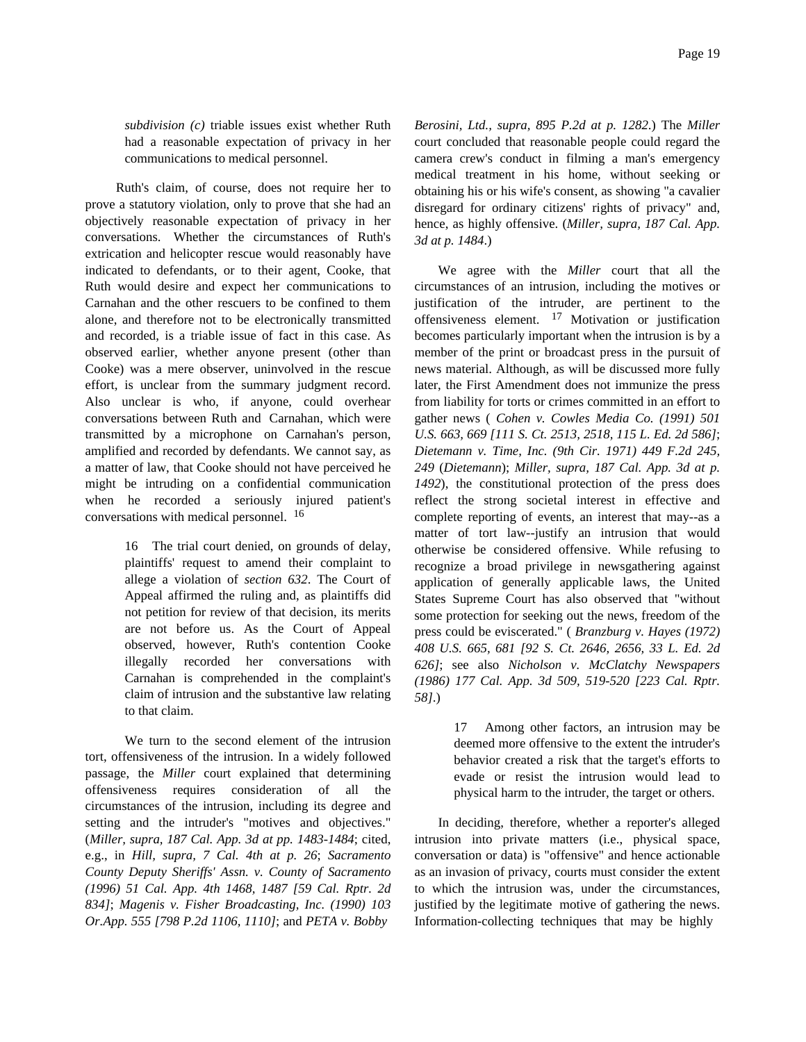*subdivision (c)* triable issues exist whether Ruth had a reasonable expectation of privacy in her communications to medical personnel.

Ruth's claim, of course, does not require her to prove a statutory violation, only to prove that she had an objectively reasonable expectation of privacy in her conversations. Whether the circumstances of Ruth's extrication and helicopter rescue would reasonably have indicated to defendants, or to their agent, Cooke, that Ruth would desire and expect her communications to Carnahan and the other rescuers to be confined to them alone, and therefore not to be electronically transmitted and recorded, is a triable issue of fact in this case. As observed earlier, whether anyone present (other than Cooke) was a mere observer, uninvolved in the rescue effort, is unclear from the summary judgment record. Also unclear is who, if anyone, could overhear conversations between Ruth and Carnahan, which were transmitted by a microphone on Carnahan's person, amplified and recorded by defendants. We cannot say, as a matter of law, that Cooke should not have perceived he might be intruding on a confidential communication when he recorded a seriously injured patient's conversations with medical personnel. 16

> 16 The trial court denied, on grounds of delay, plaintiffs' request to amend their complaint to allege a violation of *section 632*. The Court of Appeal affirmed the ruling and, as plaintiffs did not petition for review of that decision, its merits are not before us. As the Court of Appeal observed, however, Ruth's contention Cooke illegally recorded her conversations with Carnahan is comprehended in the complaint's claim of intrusion and the substantive law relating to that claim.

We turn to the second element of the intrusion tort, offensiveness of the intrusion. In a widely followed passage, the *Miller* court explained that determining offensiveness requires consideration of all the circumstances of the intrusion, including its degree and setting and the intruder's "motives and objectives." (*Miller, supra, 187 Cal. App. 3d at pp. 1483-1484*; cited, e.g., in *Hill, supra, 7 Cal. 4th at p. 26*; *Sacramento County Deputy Sheriffs' Assn. v. County of Sacramento (1996) 51 Cal. App. 4th 1468, 1487 [59 Cal. Rptr. 2d 834]*; *Magenis v. Fisher Broadcasting, Inc. (1990) 103 Or.App. 555 [798 P.2d 1106, 1110]*; and *PETA v. Bobby*

*Berosini, Ltd., supra, 895 P.2d at p. 1282*.) The *Miller* court concluded that reasonable people could regard the camera crew's conduct in filming a man's emergency medical treatment in his home, without seeking or obtaining his or his wife's consent, as showing "a cavalier disregard for ordinary citizens' rights of privacy" and, hence, as highly offensive. (*Miller, supra, 187 Cal. App. 3d at p. 1484*.)

We agree with the *Miller* court that all the circumstances of an intrusion, including the motives or justification of the intruder, are pertinent to the offensiveness element. 17 Motivation or justification becomes particularly important when the intrusion is by a member of the print or broadcast press in the pursuit of news material. Although, as will be discussed more fully later, the First Amendment does not immunize the press from liability for torts or crimes committed in an effort to gather news ( *Cohen v. Cowles Media Co. (1991) 501 U.S. 663, 669 [111 S. Ct. 2513, 2518, 115 L. Ed. 2d 586]*; *Dietemann v. Time, Inc. (9th Cir. 1971) 449 F.2d 245, 249* (*Dietemann*); *Miller, supra, 187 Cal. App. 3d at p. 1492*), the constitutional protection of the press does reflect the strong societal interest in effective and complete reporting of events, an interest that may--as a matter of tort law--justify an intrusion that would otherwise be considered offensive. While refusing to recognize a broad privilege in newsgathering against application of generally applicable laws, the United States Supreme Court has also observed that "without some protection for seeking out the news, freedom of the press could be eviscerated." ( *Branzburg v. Hayes (1972) 408 U.S. 665, 681 [92 S. Ct. 2646, 2656, 33 L. Ed. 2d 626]*; see also *Nicholson v. McClatchy Newspapers (1986) 177 Cal. App. 3d 509, 519-520 [223 Cal. Rptr. 58]*.)

> 17 Among other factors, an intrusion may be deemed more offensive to the extent the intruder's behavior created a risk that the target's efforts to evade or resist the intrusion would lead to physical harm to the intruder, the target or others.

In deciding, therefore, whether a reporter's alleged intrusion into private matters (i.e., physical space, conversation or data) is "offensive" and hence actionable as an invasion of privacy, courts must consider the extent to which the intrusion was, under the circumstances, justified by the legitimate motive of gathering the news. Information-collecting techniques that may be highly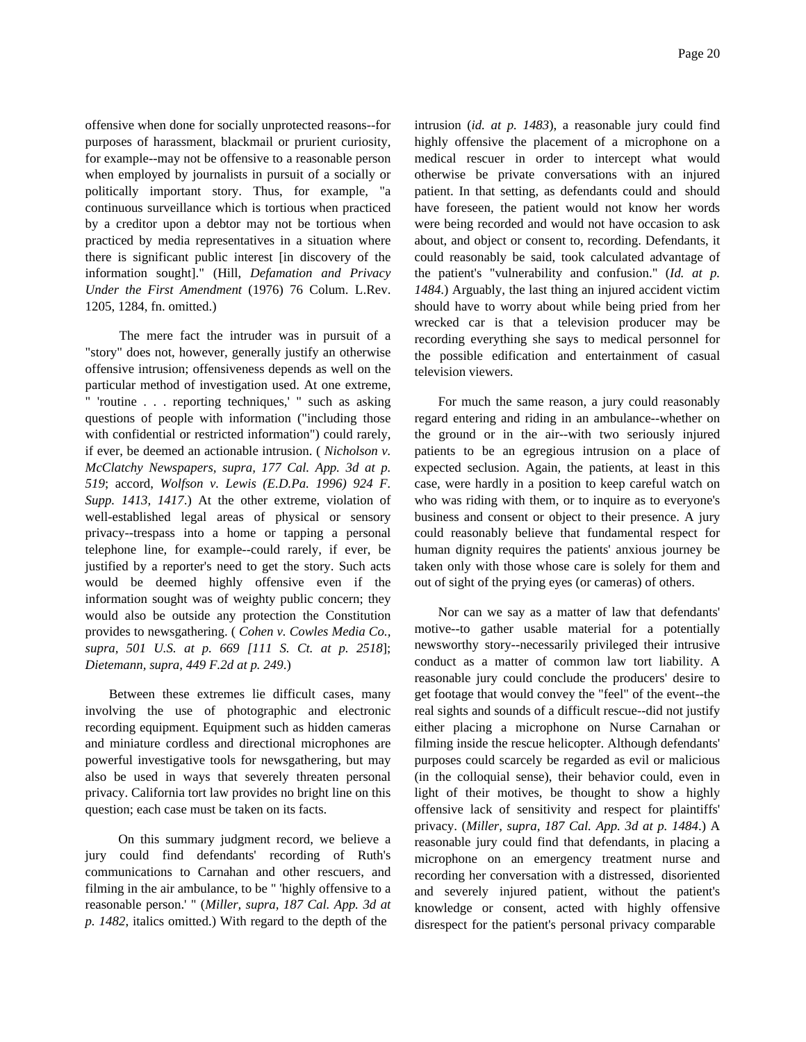offensive when done for socially unprotected reasons--for purposes of harassment, blackmail or prurient curiosity, for example--may not be offensive to a reasonable person when employed by journalists in pursuit of a socially or politically important story. Thus, for example, "a continuous surveillance which is tortious when practiced by a creditor upon a debtor may not be tortious when practiced by media representatives in a situation where there is significant public interest [in discovery of the information sought]." (Hill, *Defamation and Privacy Under the First Amendment* (1976) 76 Colum. L.Rev. 1205, 1284, fn. omitted.)

The mere fact the intruder was in pursuit of a "story" does not, however, generally justify an otherwise offensive intrusion; offensiveness depends as well on the particular method of investigation used. At one extreme, " 'routine . . . reporting techniques,' " such as asking questions of people with information ("including those with confidential or restricted information") could rarely, if ever, be deemed an actionable intrusion. ( *Nicholson v. McClatchy Newspapers, supra, 177 Cal. App. 3d at p. 519*; accord, *Wolfson v. Lewis (E.D.Pa. 1996) 924 F. Supp. 1413, 1417*.) At the other extreme, violation of well-established legal areas of physical or sensory privacy--trespass into a home or tapping a personal telephone line, for example--could rarely, if ever, be justified by a reporter's need to get the story. Such acts would be deemed highly offensive even if the information sought was of weighty public concern; they would also be outside any protection the Constitution provides to newsgathering. ( *Cohen v. Cowles Media Co., supra, 501 U.S. at p. 669 [111 S. Ct. at p. 2518*]; *Dietemann, supra, 449 F.2d at p. 249*.)

Between these extremes lie difficult cases, many involving the use of photographic and electronic recording equipment. Equipment such as hidden cameras and miniature cordless and directional microphones are powerful investigative tools for newsgathering, but may also be used in ways that severely threaten personal privacy. California tort law provides no bright line on this question; each case must be taken on its facts.

On this summary judgment record, we believe a jury could find defendants' recording of Ruth's communications to Carnahan and other rescuers, and filming in the air ambulance, to be " 'highly offensive to a reasonable person.' " (*Miller, supra, 187 Cal. App. 3d at p. 1482*, italics omitted.) With regard to the depth of the

intrusion (*id. at p. 1483*), a reasonable jury could find highly offensive the placement of a microphone on a medical rescuer in order to intercept what would otherwise be private conversations with an injured patient. In that setting, as defendants could and should have foreseen, the patient would not know her words were being recorded and would not have occasion to ask about, and object or consent to, recording. Defendants, it could reasonably be said, took calculated advantage of the patient's "vulnerability and confusion." (*Id. at p. 1484*.) Arguably, the last thing an injured accident victim should have to worry about while being pried from her wrecked car is that a television producer may be recording everything she says to medical personnel for the possible edification and entertainment of casual television viewers.

For much the same reason, a jury could reasonably regard entering and riding in an ambulance--whether on the ground or in the air--with two seriously injured patients to be an egregious intrusion on a place of expected seclusion. Again, the patients, at least in this case, were hardly in a position to keep careful watch on who was riding with them, or to inquire as to everyone's business and consent or object to their presence. A jury could reasonably believe that fundamental respect for human dignity requires the patients' anxious journey be taken only with those whose care is solely for them and out of sight of the prying eyes (or cameras) of others.

Nor can we say as a matter of law that defendants' motive--to gather usable material for a potentially newsworthy story--necessarily privileged their intrusive conduct as a matter of common law tort liability. A reasonable jury could conclude the producers' desire to get footage that would convey the "feel" of the event--the real sights and sounds of a difficult rescue--did not justify either placing a microphone on Nurse Carnahan or filming inside the rescue helicopter. Although defendants' purposes could scarcely be regarded as evil or malicious (in the colloquial sense), their behavior could, even in light of their motives, be thought to show a highly offensive lack of sensitivity and respect for plaintiffs' privacy. (*Miller, supra, 187 Cal. App. 3d at p. 1484*.) A reasonable jury could find that defendants, in placing a microphone on an emergency treatment nurse and recording her conversation with a distressed, disoriented and severely injured patient, without the patient's knowledge or consent, acted with highly offensive disrespect for the patient's personal privacy comparable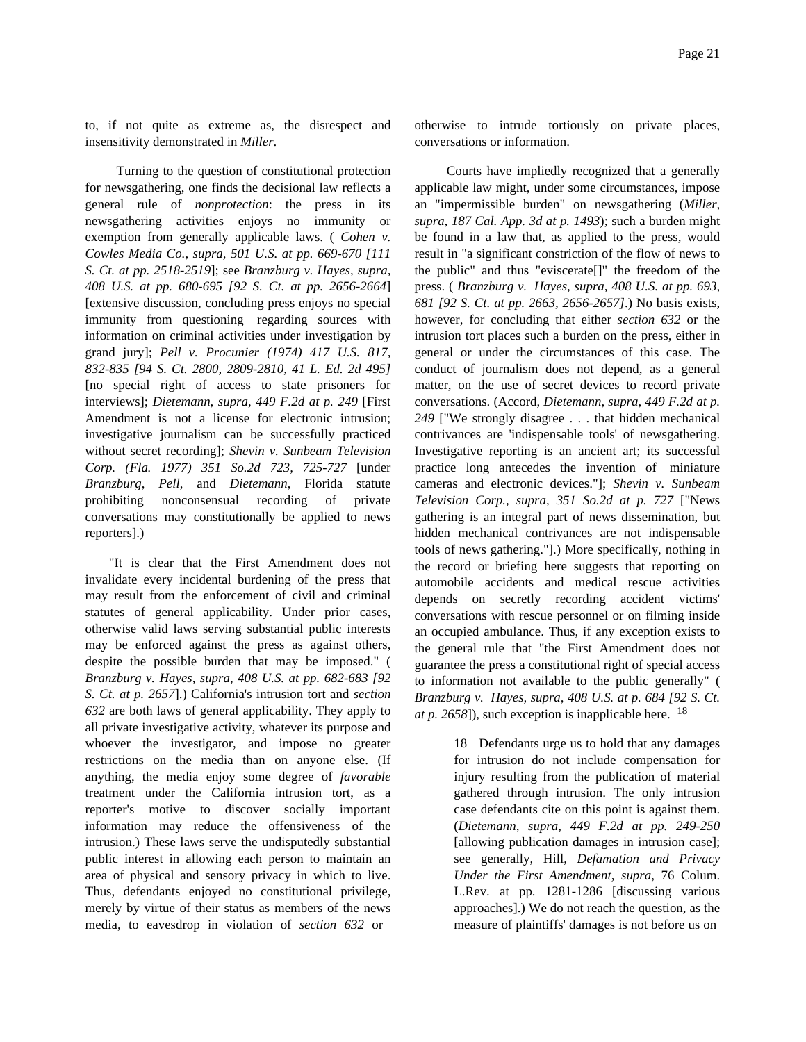to, if not quite as extreme as, the disrespect and insensitivity demonstrated in *Miller*.

Turning to the question of constitutional protection for newsgathering, one finds the decisional law reflects a general rule of *nonprotection*: the press in its newsgathering activities enjoys no immunity or exemption from generally applicable laws. ( *Cohen v. Cowles Media Co., supra, 501 U.S. at pp. 669-670 [111 S. Ct. at pp. 2518-2519*]; see *Branzburg v. Hayes, supra, 408 U.S. at pp. 680-695 [92 S. Ct. at pp. 2656-2664*] [extensive discussion, concluding press enjoys no special immunity from questioning regarding sources with information on criminal activities under investigation by grand jury]; *Pell v. Procunier (1974) 417 U.S. 817, 832-835 [94 S. Ct. 2800, 2809-2810, 41 L. Ed. 2d 495]* [no special right of access to state prisoners for interviews]; *Dietemann, supra, 449 F.2d at p. 249* [First Amendment is not a license for electronic intrusion; investigative journalism can be successfully practiced without secret recording]; *Shevin v. Sunbeam Television Corp. (Fla. 1977) 351 So.2d 723, 725-727* [under *Branzburg*, *Pell*, and *Dietemann*, Florida statute prohibiting nonconsensual recording of private conversations may constitutionally be applied to news reporters].)

"It is clear that the First Amendment does not invalidate every incidental burdening of the press that may result from the enforcement of civil and criminal statutes of general applicability. Under prior cases, otherwise valid laws serving substantial public interests may be enforced against the press as against others, despite the possible burden that may be imposed." ( *Branzburg v. Hayes, supra, 408 U.S. at pp. 682-683 [92 S. Ct. at p. 2657*].) California's intrusion tort and *section 632* are both laws of general applicability. They apply to all private investigative activity, whatever its purpose and whoever the investigator, and impose no greater restrictions on the media than on anyone else. (If anything, the media enjoy some degree of *favorable* treatment under the California intrusion tort, as a reporter's motive to discover socially important information may reduce the offensiveness of the intrusion.) These laws serve the undisputedly substantial public interest in allowing each person to maintain an area of physical and sensory privacy in which to live. Thus, defendants enjoyed no constitutional privilege, merely by virtue of their status as members of the news media, to eavesdrop in violation of *section 632* or

otherwise to intrude tortiously on private places, conversations or information.

Courts have impliedly recognized that a generally applicable law might, under some circumstances, impose an "impermissible burden" on newsgathering (*Miller, supra, 187 Cal. App. 3d at p. 1493*); such a burden might be found in a law that, as applied to the press, would result in "a significant constriction of the flow of news to the public" and thus "eviscerate[]" the freedom of the press. ( *Branzburg v. Hayes, supra, 408 U.S. at pp. 693, 681 [92 S. Ct. at pp. 2663, 2656-2657]*.) No basis exists, however, for concluding that either *section 632* or the intrusion tort places such a burden on the press, either in general or under the circumstances of this case. The conduct of journalism does not depend, as a general matter, on the use of secret devices to record private conversations. (Accord, *Dietemann, supra, 449 F.2d at p. 249* ["We strongly disagree . . . that hidden mechanical contrivances are 'indispensable tools' of newsgathering. Investigative reporting is an ancient art; its successful practice long antecedes the invention of miniature cameras and electronic devices."]; *Shevin v. Sunbeam Television Corp., supra, 351 So.2d at p. 727* ["News gathering is an integral part of news dissemination, but hidden mechanical contrivances are not indispensable tools of news gathering."].) More specifically, nothing in the record or briefing here suggests that reporting on automobile accidents and medical rescue activities depends on secretly recording accident victims' conversations with rescue personnel or on filming inside an occupied ambulance. Thus, if any exception exists to the general rule that "the First Amendment does not guarantee the press a constitutional right of special access to information not available to the public generally" ( *Branzburg v. Hayes, supra, 408 U.S. at p. 684 [92 S. Ct. at p. 2658*]), such exception is inapplicable here. 18

> 18 Defendants urge us to hold that any damages for intrusion do not include compensation for injury resulting from the publication of material gathered through intrusion. The only intrusion case defendants cite on this point is against them. (*Dietemann, supra, 449 F.2d at pp. 249-250* [allowing publication damages in intrusion case]; see generally, Hill, *Defamation and Privacy Under the First Amendment*, *supra*, 76 Colum. L.Rev. at pp. 1281-1286 [discussing various approaches].) We do not reach the question, as the measure of plaintiffs' damages is not before us on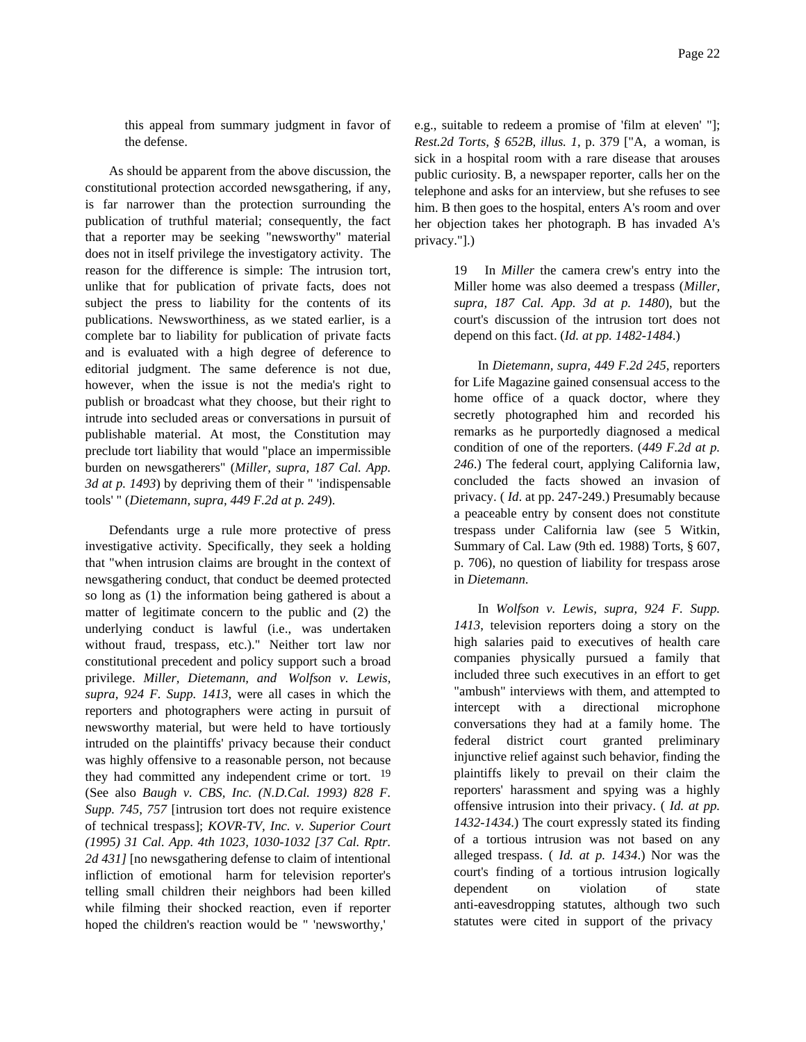this appeal from summary judgment in favor of the defense.

As should be apparent from the above discussion, the constitutional protection accorded newsgathering, if any, is far narrower than the protection surrounding the publication of truthful material; consequently, the fact that a reporter may be seeking "newsworthy" material does not in itself privilege the investigatory activity. The reason for the difference is simple: The intrusion tort, unlike that for publication of private facts, does not subject the press to liability for the contents of its publications. Newsworthiness, as we stated earlier, is a complete bar to liability for publication of private facts and is evaluated with a high degree of deference to editorial judgment. The same deference is not due, however, when the issue is not the media's right to publish or broadcast what they choose, but their right to intrude into secluded areas or conversations in pursuit of publishable material. At most, the Constitution may preclude tort liability that would "place an impermissible burden on newsgatherers" (*Miller, supra, 187 Cal. App. 3d at p. 1493*) by depriving them of their " 'indispensable tools' " (*Dietemann, supra, 449 F.2d at p. 249*).

Defendants urge a rule more protective of press investigative activity. Specifically, they seek a holding that "when intrusion claims are brought in the context of newsgathering conduct, that conduct be deemed protected so long as (1) the information being gathered is about a matter of legitimate concern to the public and (2) the underlying conduct is lawful (i.e., was undertaken without fraud, trespass, etc.)." Neither tort law nor constitutional precedent and policy support such a broad privilege. *Miller, Dietemann, and Wolfson v. Lewis, supra, 924 F. Supp. 1413*, were all cases in which the reporters and photographers were acting in pursuit of newsworthy material, but were held to have tortiously intruded on the plaintiffs' privacy because their conduct was highly offensive to a reasonable person, not because they had committed any independent crime or tort.  $19$ (See also *Baugh v. CBS, Inc. (N.D.Cal. 1993) 828 F. Supp. 745, 757* [intrusion tort does not require existence of technical trespass]; *KOVR-TV, Inc. v. Superior Court (1995) 31 Cal. App. 4th 1023, 1030-1032 [37 Cal. Rptr. 2d 431]* [no newsgathering defense to claim of intentional infliction of emotional harm for television reporter's telling small children their neighbors had been killed while filming their shocked reaction, even if reporter hoped the children's reaction would be " 'newsworthy,'

e.g., suitable to redeem a promise of 'film at eleven' "]; *Rest.2d Torts, § 652B, illus. 1*, p. 379 ["A, a woman, is sick in a hospital room with a rare disease that arouses public curiosity. B, a newspaper reporter, calls her on the telephone and asks for an interview, but she refuses to see him. B then goes to the hospital, enters A's room and over her objection takes her photograph. B has invaded A's privacy."].)

> 19 In *Miller* the camera crew's entry into the Miller home was also deemed a trespass (*Miller, supra, 187 Cal. App. 3d at p. 1480*), but the court's discussion of the intrusion tort does not depend on this fact. (*Id. at pp. 1482-1484*.)

> In *Dietemann, supra, 449 F.2d 245*, reporters for Life Magazine gained consensual access to the home office of a quack doctor, where they secretly photographed him and recorded his remarks as he purportedly diagnosed a medical condition of one of the reporters. (*449 F.2d at p. 246*.) The federal court, applying California law, concluded the facts showed an invasion of privacy. ( *Id*. at pp. 247-249.) Presumably because a peaceable entry by consent does not constitute trespass under California law (see 5 Witkin, Summary of Cal. Law (9th ed. 1988) Torts, § 607, p. 706), no question of liability for trespass arose in *Dietemann*.

> In *Wolfson v. Lewis, supra, 924 F. Supp. 1413*, television reporters doing a story on the high salaries paid to executives of health care companies physically pursued a family that included three such executives in an effort to get "ambush" interviews with them, and attempted to intercept with a directional microphone conversations they had at a family home. The federal district court granted preliminary injunctive relief against such behavior, finding the plaintiffs likely to prevail on their claim the reporters' harassment and spying was a highly offensive intrusion into their privacy. ( *Id. at pp. 1432-1434*.) The court expressly stated its finding of a tortious intrusion was not based on any alleged trespass. ( *Id. at p. 1434*.) Nor was the court's finding of a tortious intrusion logically dependent on violation of state anti-eavesdropping statutes, although two such statutes were cited in support of the privacy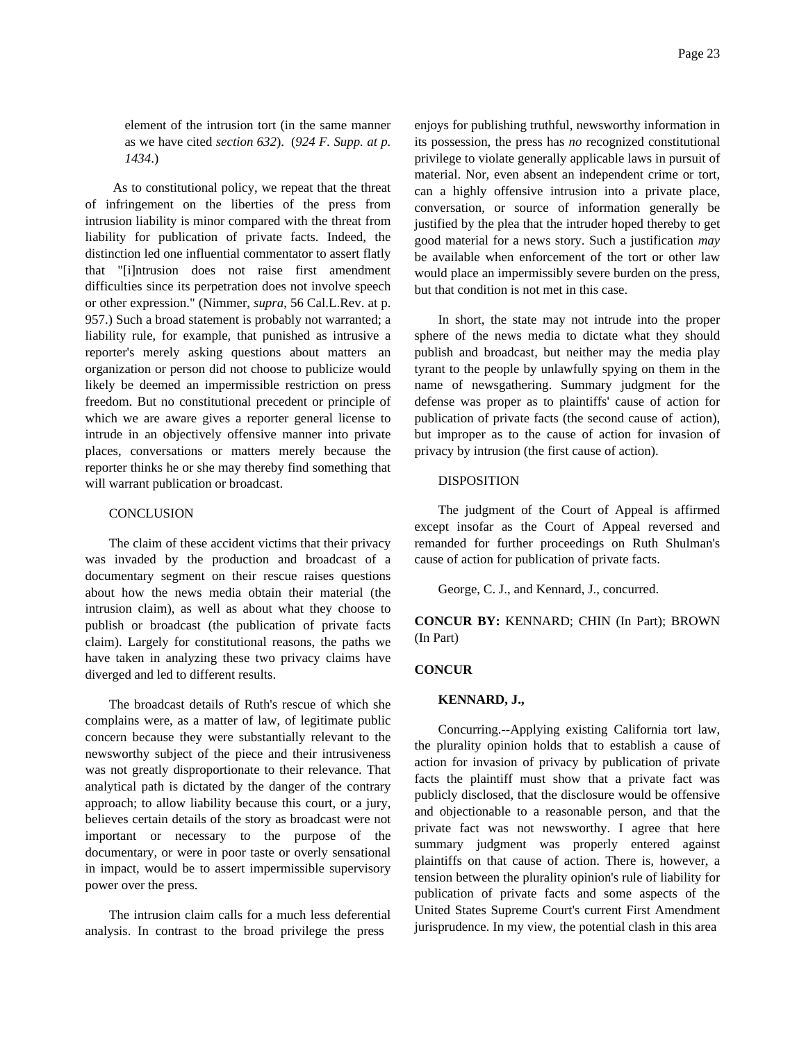element of the intrusion tort (in the same manner as we have cited *section 632*). (*924 F. Supp. at p. 1434*.)

As to constitutional policy, we repeat that the threat of infringement on the liberties of the press from intrusion liability is minor compared with the threat from liability for publication of private facts. Indeed, the distinction led one influential commentator to assert flatly that "[i]ntrusion does not raise first amendment difficulties since its perpetration does not involve speech or other expression." (Nimmer, *supra*, 56 Cal.L.Rev. at p. 957.) Such a broad statement is probably not warranted; a liability rule, for example, that punished as intrusive a reporter's merely asking questions about matters an organization or person did not choose to publicize would likely be deemed an impermissible restriction on press freedom. But no constitutional precedent or principle of which we are aware gives a reporter general license to intrude in an objectively offensive manner into private places, conversations or matters merely because the reporter thinks he or she may thereby find something that will warrant publication or broadcast.

## **CONCLUSION**

The claim of these accident victims that their privacy was invaded by the production and broadcast of a documentary segment on their rescue raises questions about how the news media obtain their material (the intrusion claim), as well as about what they choose to publish or broadcast (the publication of private facts claim). Largely for constitutional reasons, the paths we have taken in analyzing these two privacy claims have diverged and led to different results.

The broadcast details of Ruth's rescue of which she complains were, as a matter of law, of legitimate public concern because they were substantially relevant to the newsworthy subject of the piece and their intrusiveness was not greatly disproportionate to their relevance. That analytical path is dictated by the danger of the contrary approach; to allow liability because this court, or a jury, believes certain details of the story as broadcast were not important or necessary to the purpose of the documentary, or were in poor taste or overly sensational in impact, would be to assert impermissible supervisory power over the press.

The intrusion claim calls for a much less deferential analysis. In contrast to the broad privilege the press

enjoys for publishing truthful, newsworthy information in its possession, the press has *no* recognized constitutional privilege to violate generally applicable laws in pursuit of material. Nor, even absent an independent crime or tort, can a highly offensive intrusion into a private place, conversation, or source of information generally be justified by the plea that the intruder hoped thereby to get good material for a news story. Such a justification *may* be available when enforcement of the tort or other law would place an impermissibly severe burden on the press, but that condition is not met in this case.

In short, the state may not intrude into the proper sphere of the news media to dictate what they should publish and broadcast, but neither may the media play tyrant to the people by unlawfully spying on them in the name of newsgathering. Summary judgment for the defense was proper as to plaintiffs' cause of action for publication of private facts (the second cause of action), but improper as to the cause of action for invasion of privacy by intrusion (the first cause of action).

## DISPOSITION

The judgment of the Court of Appeal is affirmed except insofar as the Court of Appeal reversed and remanded for further proceedings on Ruth Shulman's cause of action for publication of private facts.

George, C. J., and Kennard, J., concurred.

**CONCUR BY:** KENNARD; CHIN (In Part); BROWN (In Part)

#### **CONCUR**

#### **KENNARD, J.,**

Concurring.--Applying existing California tort law, the plurality opinion holds that to establish a cause of action for invasion of privacy by publication of private facts the plaintiff must show that a private fact was publicly disclosed, that the disclosure would be offensive and objectionable to a reasonable person, and that the private fact was not newsworthy. I agree that here summary judgment was properly entered against plaintiffs on that cause of action. There is, however, a tension between the plurality opinion's rule of liability for publication of private facts and some aspects of the United States Supreme Court's current First Amendment jurisprudence. In my view, the potential clash in this area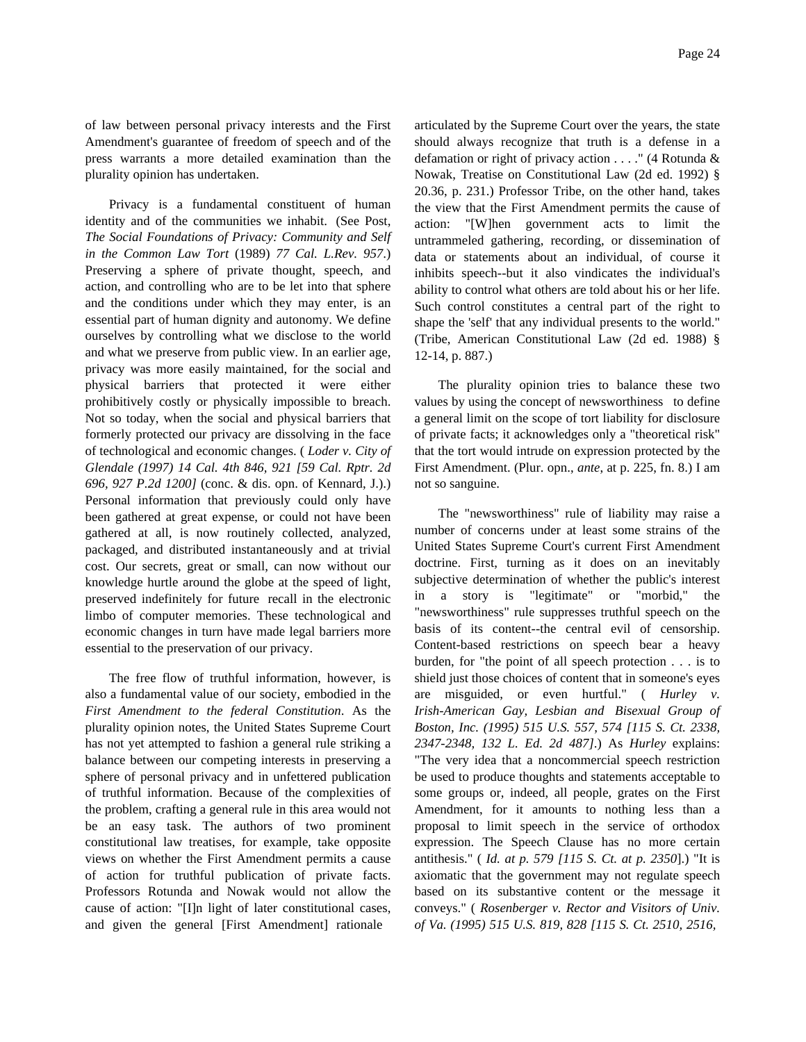of law between personal privacy interests and the First Amendment's guarantee of freedom of speech and of the press warrants a more detailed examination than the plurality opinion has undertaken.

Privacy is a fundamental constituent of human identity and of the communities we inhabit. (See Post, *The Social Foundations of Privacy: Community and Self in the Common Law Tort* (1989) *77 Cal. L.Rev. 957*.) Preserving a sphere of private thought, speech, and action, and controlling who are to be let into that sphere and the conditions under which they may enter, is an essential part of human dignity and autonomy. We define ourselves by controlling what we disclose to the world and what we preserve from public view. In an earlier age, privacy was more easily maintained, for the social and physical barriers that protected it were either prohibitively costly or physically impossible to breach. Not so today, when the social and physical barriers that formerly protected our privacy are dissolving in the face of technological and economic changes. ( *Loder v. City of Glendale (1997) 14 Cal. 4th 846, 921 [59 Cal. Rptr. 2d 696, 927 P.2d 1200]* (conc. & dis. opn. of Kennard, J.).) Personal information that previously could only have been gathered at great expense, or could not have been gathered at all, is now routinely collected, analyzed, packaged, and distributed instantaneously and at trivial cost. Our secrets, great or small, can now without our knowledge hurtle around the globe at the speed of light, preserved indefinitely for future recall in the electronic limbo of computer memories. These technological and economic changes in turn have made legal barriers more essential to the preservation of our privacy.

The free flow of truthful information, however, is also a fundamental value of our society, embodied in the *First Amendment to the federal Constitution*. As the plurality opinion notes, the United States Supreme Court has not yet attempted to fashion a general rule striking a balance between our competing interests in preserving a sphere of personal privacy and in unfettered publication of truthful information. Because of the complexities of the problem, crafting a general rule in this area would not be an easy task. The authors of two prominent constitutional law treatises, for example, take opposite views on whether the First Amendment permits a cause of action for truthful publication of private facts. Professors Rotunda and Nowak would not allow the cause of action: "[I]n light of later constitutional cases, and given the general [First Amendment] rationale

articulated by the Supreme Court over the years, the state should always recognize that truth is a defense in a defamation or right of privacy action . . . ." (4 Rotunda & Nowak, Treatise on Constitutional Law (2d ed. 1992) § 20.36, p. 231.) Professor Tribe, on the other hand, takes the view that the First Amendment permits the cause of action: "[W]hen government acts to limit the untrammeled gathering, recording, or dissemination of data or statements about an individual, of course it inhibits speech--but it also vindicates the individual's ability to control what others are told about his or her life. Such control constitutes a central part of the right to shape the 'self' that any individual presents to the world." (Tribe, American Constitutional Law (2d ed. 1988) § 12-14, p. 887.)

The plurality opinion tries to balance these two values by using the concept of newsworthiness to define a general limit on the scope of tort liability for disclosure of private facts; it acknowledges only a "theoretical risk" that the tort would intrude on expression protected by the First Amendment. (Plur. opn., *ante*, at p. 225, fn. 8.) I am not so sanguine.

The "newsworthiness" rule of liability may raise a number of concerns under at least some strains of the United States Supreme Court's current First Amendment doctrine. First, turning as it does on an inevitably subjective determination of whether the public's interest in a story is "legitimate" or "morbid," the "newsworthiness" rule suppresses truthful speech on the basis of its content--the central evil of censorship. Content-based restrictions on speech bear a heavy burden, for "the point of all speech protection . . . is to shield just those choices of content that in someone's eyes are misguided, or even hurtful." ( *Hurley v. Irish-American Gay, Lesbian and Bisexual Group of Boston, Inc. (1995) 515 U.S. 557, 574 [115 S. Ct. 2338, 2347-2348, 132 L. Ed. 2d 487]*.) As *Hurley* explains: "The very idea that a noncommercial speech restriction be used to produce thoughts and statements acceptable to some groups or, indeed, all people, grates on the First Amendment, for it amounts to nothing less than a proposal to limit speech in the service of orthodox expression. The Speech Clause has no more certain antithesis." ( *Id. at p. 579 [115 S. Ct. at p. 2350*].) "It is axiomatic that the government may not regulate speech based on its substantive content or the message it conveys." ( *Rosenberger v. Rector and Visitors of Univ. of Va. (1995) 515 U.S. 819, 828 [115 S. Ct. 2510, 2516,*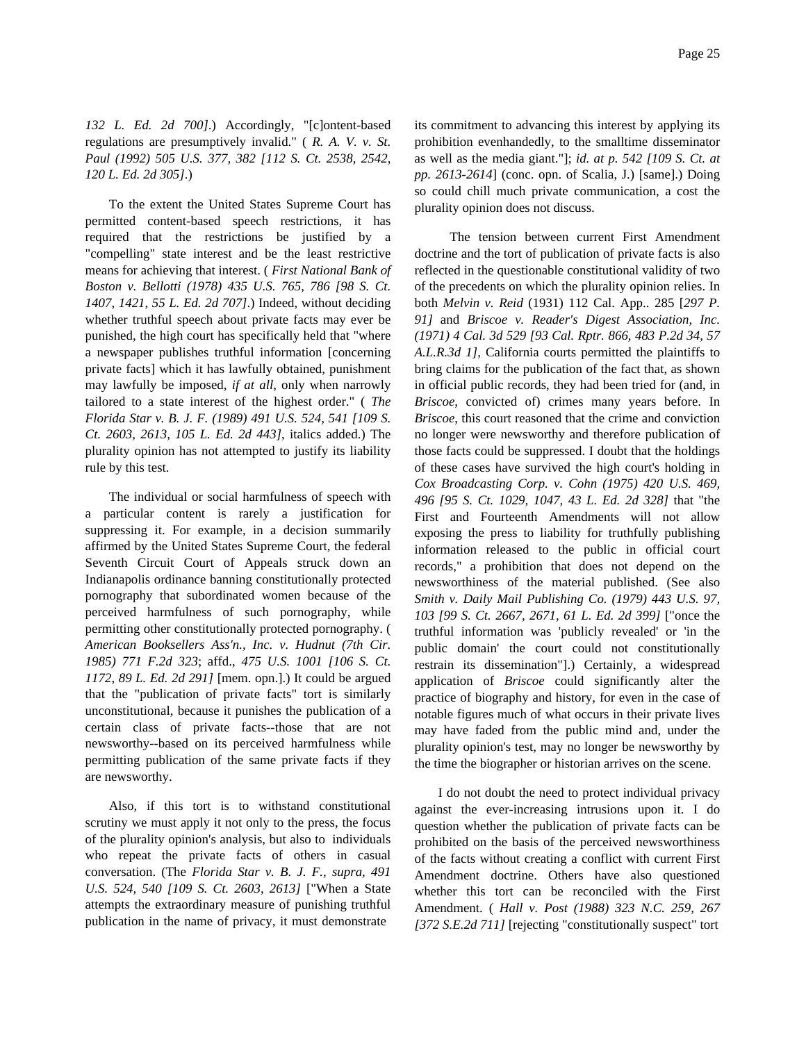*132 L. Ed. 2d 700]*.) Accordingly, "[c]ontent-based regulations are presumptively invalid." ( *R. A. V. v. St. Paul (1992) 505 U.S. 377, 382 [112 S. Ct. 2538, 2542, 120 L. Ed. 2d 305]*.)

To the extent the United States Supreme Court has permitted content-based speech restrictions, it has required that the restrictions be justified by a "compelling" state interest and be the least restrictive means for achieving that interest. ( *First National Bank of Boston v. Bellotti (1978) 435 U.S. 765, 786 [98 S. Ct. 1407, 1421, 55 L. Ed. 2d 707]*.) Indeed, without deciding whether truthful speech about private facts may ever be punished, the high court has specifically held that "where a newspaper publishes truthful information [concerning private facts] which it has lawfully obtained, punishment may lawfully be imposed, *if at all*, only when narrowly tailored to a state interest of the highest order." ( *The Florida Star v. B. J. F. (1989) 491 U.S. 524, 541 [109 S. Ct. 2603, 2613, 105 L. Ed. 2d 443]*, italics added.) The plurality opinion has not attempted to justify its liability rule by this test.

The individual or social harmfulness of speech with a particular content is rarely a justification for suppressing it. For example, in a decision summarily affirmed by the United States Supreme Court, the federal Seventh Circuit Court of Appeals struck down an Indianapolis ordinance banning constitutionally protected pornography that subordinated women because of the perceived harmfulness of such pornography, while permitting other constitutionally protected pornography. ( *American Booksellers Ass'n., Inc. v. Hudnut (7th Cir. 1985) 771 F.2d 323*; affd., *475 U.S. 1001 [106 S. Ct. 1172, 89 L. Ed. 2d 291]* [mem. opn.].) It could be argued that the "publication of private facts" tort is similarly unconstitutional, because it punishes the publication of a certain class of private facts--those that are not newsworthy--based on its perceived harmfulness while permitting publication of the same private facts if they are newsworthy.

Also, if this tort is to withstand constitutional scrutiny we must apply it not only to the press, the focus of the plurality opinion's analysis, but also to individuals who repeat the private facts of others in casual conversation. (The *Florida Star v. B. J. F., supra, 491 U.S. 524, 540 [109 S. Ct. 2603, 2613]* ["When a State attempts the extraordinary measure of punishing truthful publication in the name of privacy, it must demonstrate

its commitment to advancing this interest by applying its prohibition evenhandedly, to the smalltime disseminator as well as the media giant."]; *id. at p. 542 [109 S. Ct. at pp. 2613-2614*] (conc. opn. of Scalia, J.) [same].) Doing so could chill much private communication, a cost the plurality opinion does not discuss.

The tension between current First Amendment doctrine and the tort of publication of private facts is also reflected in the questionable constitutional validity of two of the precedents on which the plurality opinion relies. In both *Melvin v. Reid* (1931) 112 Cal. App.. 285 [*297 P. 91]* and *Briscoe v. Reader's Digest Association, Inc. (1971) 4 Cal. 3d 529 [93 Cal. Rptr. 866, 483 P.2d 34, 57 A.L.R.3d 1]*, California courts permitted the plaintiffs to bring claims for the publication of the fact that, as shown in official public records, they had been tried for (and, in *Briscoe*, convicted of) crimes many years before. In *Briscoe*, this court reasoned that the crime and conviction no longer were newsworthy and therefore publication of those facts could be suppressed. I doubt that the holdings of these cases have survived the high court's holding in *Cox Broadcasting Corp. v. Cohn (1975) 420 U.S. 469, 496 [95 S. Ct. 1029, 1047, 43 L. Ed. 2d 328]* that "the First and Fourteenth Amendments will not allow exposing the press to liability for truthfully publishing information released to the public in official court records," a prohibition that does not depend on the newsworthiness of the material published. (See also *Smith v. Daily Mail Publishing Co. (1979) 443 U.S. 97, 103 [99 S. Ct. 2667, 2671, 61 L. Ed. 2d 399]* ["once the truthful information was 'publicly revealed' or 'in the public domain' the court could not constitutionally restrain its dissemination"].) Certainly, a widespread application of *Briscoe* could significantly alter the practice of biography and history, for even in the case of notable figures much of what occurs in their private lives may have faded from the public mind and, under the plurality opinion's test, may no longer be newsworthy by the time the biographer or historian arrives on the scene.

I do not doubt the need to protect individual privacy against the ever-increasing intrusions upon it. I do question whether the publication of private facts can be prohibited on the basis of the perceived newsworthiness of the facts without creating a conflict with current First Amendment doctrine. Others have also questioned whether this tort can be reconciled with the First Amendment. ( *Hall v. Post (1988) 323 N.C. 259, 267 [372 S.E.2d 711]* [rejecting "constitutionally suspect" tort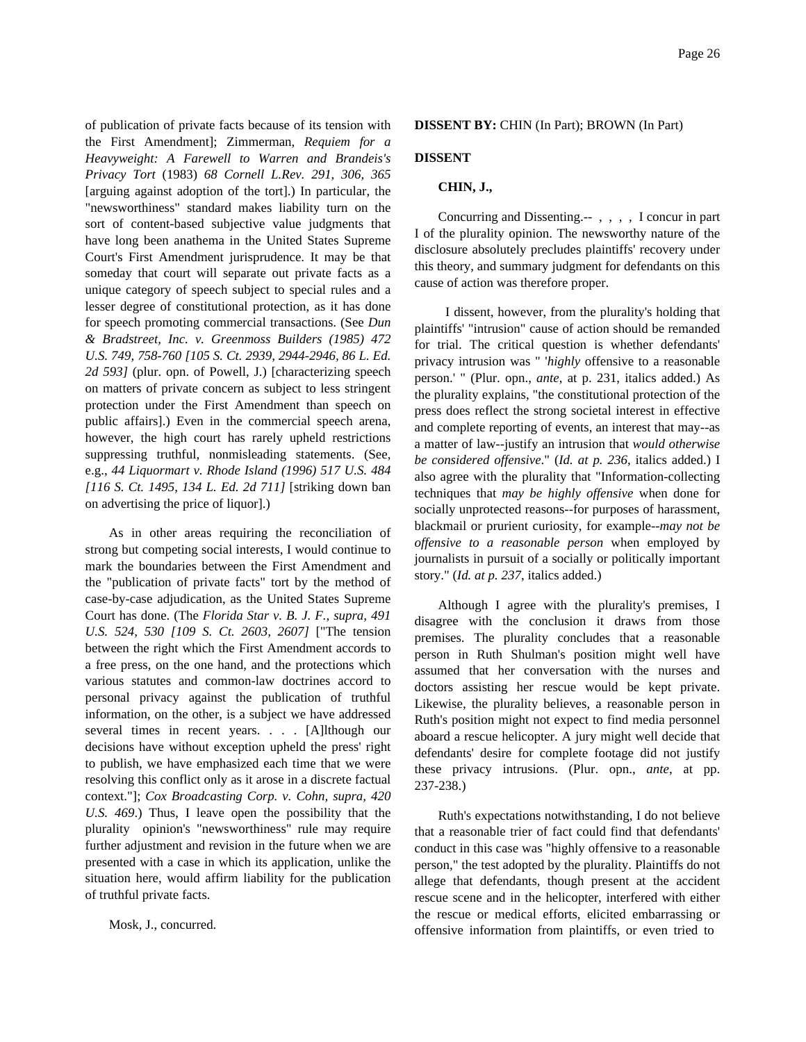of publication of private facts because of its tension with the First Amendment]; Zimmerman, *Requiem for a Heavyweight: A Farewell to Warren and Brandeis's Privacy Tort* (1983) *68 Cornell L.Rev. 291, 306, 365* [arguing against adoption of the tort].) In particular, the "newsworthiness" standard makes liability turn on the sort of content-based subjective value judgments that have long been anathema in the United States Supreme Court's First Amendment jurisprudence. It may be that someday that court will separate out private facts as a unique category of speech subject to special rules and a lesser degree of constitutional protection, as it has done for speech promoting commercial transactions. (See *Dun & Bradstreet, Inc. v. Greenmoss Builders (1985) 472 U.S. 749, 758-760 [105 S. Ct. 2939, 2944-2946, 86 L. Ed. 2d 593]* (plur. opn. of Powell, J.) [characterizing speech on matters of private concern as subject to less stringent protection under the First Amendment than speech on public affairs].) Even in the commercial speech arena, however, the high court has rarely upheld restrictions suppressing truthful, nonmisleading statements. (See, e.g., *44 Liquormart v. Rhode Island (1996) 517 U.S. 484 [116 S. Ct. 1495, 134 L. Ed. 2d 711]* [striking down ban on advertising the price of liquor].)

As in other areas requiring the reconciliation of strong but competing social interests, I would continue to mark the boundaries between the First Amendment and the "publication of private facts" tort by the method of case-by-case adjudication, as the United States Supreme Court has done. (The *Florida Star v. B. J. F., supra, 491 U.S. 524, 530 [109 S. Ct. 2603, 2607]* ["The tension between the right which the First Amendment accords to a free press, on the one hand, and the protections which various statutes and common-law doctrines accord to personal privacy against the publication of truthful information, on the other, is a subject we have addressed several times in recent years. . . . [A]lthough our decisions have without exception upheld the press' right to publish, we have emphasized each time that we were resolving this conflict only as it arose in a discrete factual context."]; *Cox Broadcasting Corp. v. Cohn, supra, 420 U.S. 469*.) Thus, I leave open the possibility that the plurality opinion's "newsworthiness" rule may require further adjustment and revision in the future when we are presented with a case in which its application, unlike the situation here, would affirm liability for the publication of truthful private facts.

Mosk, J., concurred.

### **DISSENT BY:** CHIN (In Part); BROWN (In Part)

## **DISSENT**

## **CHIN, J.,**

Concurring and Dissenting.-- , , , , I concur in part I of the plurality opinion. The newsworthy nature of the disclosure absolutely precludes plaintiffs' recovery under this theory, and summary judgment for defendants on this cause of action was therefore proper.

I dissent, however, from the plurality's holding that plaintiffs' "intrusion" cause of action should be remanded for trial. The critical question is whether defendants' privacy intrusion was " '*highly* offensive to a reasonable person.' " (Plur. opn., *ante*, at p. 231, italics added.) As the plurality explains, "the constitutional protection of the press does reflect the strong societal interest in effective and complete reporting of events, an interest that may--as a matter of law--justify an intrusion that *would otherwise be considered offensive*." (*Id. at p. 236*, italics added.) I also agree with the plurality that "Information-collecting techniques that *may be highly offensive* when done for socially unprotected reasons--for purposes of harassment, blackmail or prurient curiosity, for example--*may not be offensive to a reasonable person* when employed by journalists in pursuit of a socially or politically important story." (*Id. at p. 237*, italics added.)

Although I agree with the plurality's premises, I disagree with the conclusion it draws from those premises. The plurality concludes that a reasonable person in Ruth Shulman's position might well have assumed that her conversation with the nurses and doctors assisting her rescue would be kept private. Likewise, the plurality believes, a reasonable person in Ruth's position might not expect to find media personnel aboard a rescue helicopter. A jury might well decide that defendants' desire for complete footage did not justify these privacy intrusions. (Plur. opn., *ante*, at pp. 237-238.)

Ruth's expectations notwithstanding, I do not believe that a reasonable trier of fact could find that defendants' conduct in this case was "highly offensive to a reasonable person," the test adopted by the plurality. Plaintiffs do not allege that defendants, though present at the accident rescue scene and in the helicopter, interfered with either the rescue or medical efforts, elicited embarrassing or offensive information from plaintiffs, or even tried to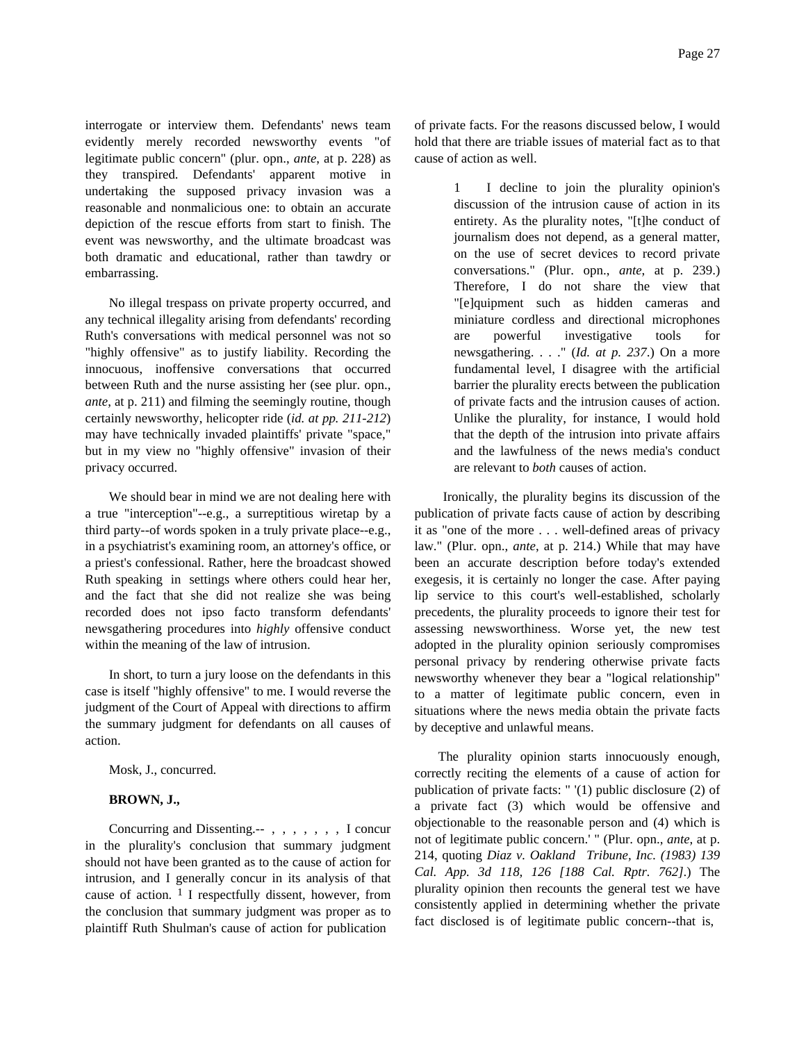interrogate or interview them. Defendants' news team evidently merely recorded newsworthy events "of legitimate public concern" (plur. opn., *ante*, at p. 228) as they transpired. Defendants' apparent motive in undertaking the supposed privacy invasion was a reasonable and nonmalicious one: to obtain an accurate depiction of the rescue efforts from start to finish. The event was newsworthy, and the ultimate broadcast was both dramatic and educational, rather than tawdry or embarrassing.

No illegal trespass on private property occurred, and any technical illegality arising from defendants' recording Ruth's conversations with medical personnel was not so "highly offensive" as to justify liability. Recording the innocuous, inoffensive conversations that occurred between Ruth and the nurse assisting her (see plur. opn., *ante*, at p. 211) and filming the seemingly routine, though certainly newsworthy, helicopter ride (*id. at pp. 211-212*) may have technically invaded plaintiffs' private "space," but in my view no "highly offensive" invasion of their privacy occurred.

We should bear in mind we are not dealing here with a true "interception"--e.g., a surreptitious wiretap by a third party--of words spoken in a truly private place--e.g., in a psychiatrist's examining room, an attorney's office, or a priest's confessional. Rather, here the broadcast showed Ruth speaking in settings where others could hear her, and the fact that she did not realize she was being recorded does not ipso facto transform defendants' newsgathering procedures into *highly* offensive conduct within the meaning of the law of intrusion.

In short, to turn a jury loose on the defendants in this case is itself "highly offensive" to me. I would reverse the judgment of the Court of Appeal with directions to affirm the summary judgment for defendants on all causes of action.

Mosk, J., concurred.

### **BROWN, J.,**

Concurring and Dissenting.-- , , , , , , , I concur in the plurality's conclusion that summary judgment should not have been granted as to the cause of action for intrusion, and I generally concur in its analysis of that cause of action.  $1$  I respectfully dissent, however, from the conclusion that summary judgment was proper as to plaintiff Ruth Shulman's cause of action for publication

of private facts. For the reasons discussed below, I would hold that there are triable issues of material fact as to that cause of action as well.

> 1 I decline to join the plurality opinion's discussion of the intrusion cause of action in its entirety. As the plurality notes, "[t]he conduct of journalism does not depend, as a general matter, on the use of secret devices to record private conversations." (Plur. opn., *ante*, at p. 239.) Therefore, I do not share the view that "[e]quipment such as hidden cameras and miniature cordless and directional microphones are powerful investigative tools for newsgathering. . . ." (*Id. at p. 237*.) On a more fundamental level, I disagree with the artificial barrier the plurality erects between the publication of private facts and the intrusion causes of action. Unlike the plurality, for instance, I would hold that the depth of the intrusion into private affairs and the lawfulness of the news media's conduct are relevant to *both* causes of action.

Ironically, the plurality begins its discussion of the publication of private facts cause of action by describing it as "one of the more . . . well-defined areas of privacy law." (Plur. opn., *ante*, at p. 214.) While that may have been an accurate description before today's extended exegesis, it is certainly no longer the case. After paying lip service to this court's well-established, scholarly precedents, the plurality proceeds to ignore their test for assessing newsworthiness. Worse yet, the new test adopted in the plurality opinion seriously compromises personal privacy by rendering otherwise private facts newsworthy whenever they bear a "logical relationship" to a matter of legitimate public concern, even in situations where the news media obtain the private facts by deceptive and unlawful means.

The plurality opinion starts innocuously enough, correctly reciting the elements of a cause of action for publication of private facts: " '(1) public disclosure (2) of a private fact (3) which would be offensive and objectionable to the reasonable person and (4) which is not of legitimate public concern.' " (Plur. opn., *ante*, at p. 214, quoting *Diaz v. Oakland Tribune, Inc. (1983) 139 Cal. App. 3d 118, 126 [188 Cal. Rptr. 762]*.) The plurality opinion then recounts the general test we have consistently applied in determining whether the private fact disclosed is of legitimate public concern--that is,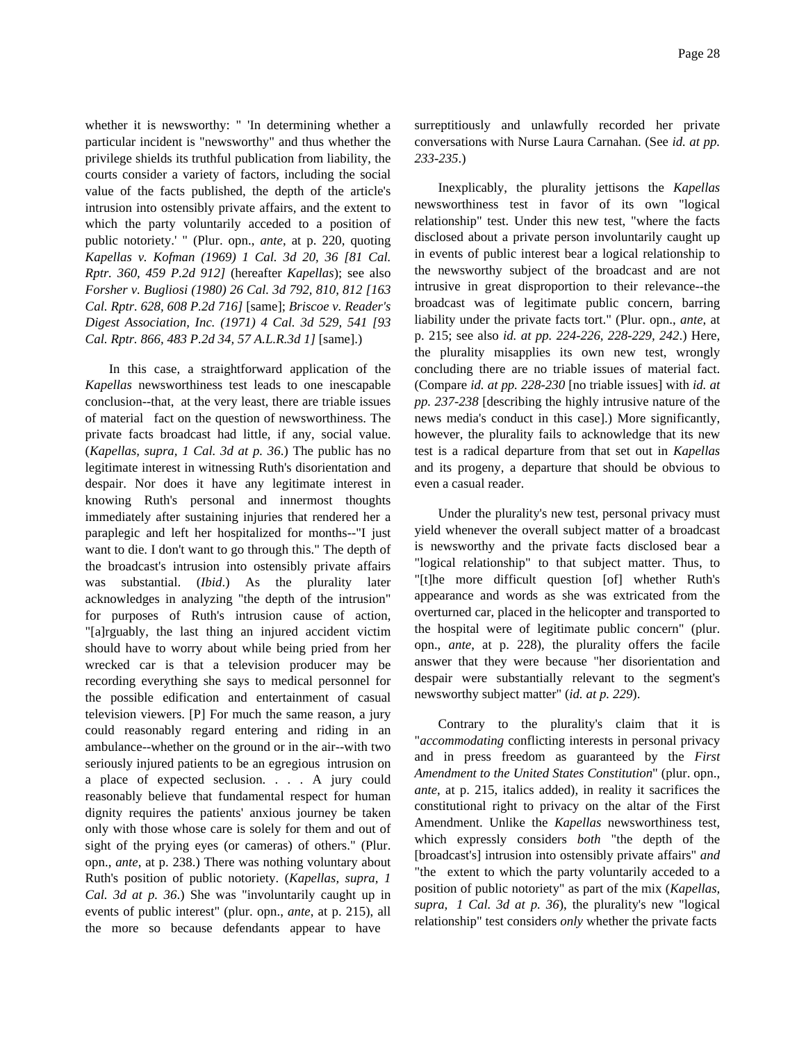whether it is newsworthy: " 'In determining whether a particular incident is "newsworthy" and thus whether the privilege shields its truthful publication from liability, the courts consider a variety of factors, including the social value of the facts published, the depth of the article's intrusion into ostensibly private affairs, and the extent to which the party voluntarily acceded to a position of public notoriety.' " (Plur. opn., *ante*, at p. 220, quoting *Kapellas v. Kofman (1969) 1 Cal. 3d 20, 36 [81 Cal. Rptr. 360, 459 P.2d 912]* (hereafter *Kapellas*); see also *Forsher v. Bugliosi (1980) 26 Cal. 3d 792, 810, 812 [163 Cal. Rptr. 628, 608 P.2d 716]* [same]; *Briscoe v. Reader's Digest Association, Inc. (1971) 4 Cal. 3d 529, 541 [93 Cal. Rptr. 866, 483 P.2d 34, 57 A.L.R.3d 1]* [same].)

In this case, a straightforward application of the *Kapellas* newsworthiness test leads to one inescapable conclusion--that, at the very least, there are triable issues of material fact on the question of newsworthiness. The private facts broadcast had little, if any, social value. (*Kapellas, supra, 1 Cal. 3d at p. 36*.) The public has no legitimate interest in witnessing Ruth's disorientation and despair. Nor does it have any legitimate interest in knowing Ruth's personal and innermost thoughts immediately after sustaining injuries that rendered her a paraplegic and left her hospitalized for months--"I just want to die. I don't want to go through this." The depth of the broadcast's intrusion into ostensibly private affairs was substantial. (*Ibid*.) As the plurality later acknowledges in analyzing "the depth of the intrusion" for purposes of Ruth's intrusion cause of action, "[a]rguably, the last thing an injured accident victim should have to worry about while being pried from her wrecked car is that a television producer may be recording everything she says to medical personnel for the possible edification and entertainment of casual television viewers. [P] For much the same reason, a jury could reasonably regard entering and riding in an ambulance--whether on the ground or in the air--with two seriously injured patients to be an egregious intrusion on a place of expected seclusion. . . . A jury could reasonably believe that fundamental respect for human dignity requires the patients' anxious journey be taken only with those whose care is solely for them and out of sight of the prying eyes (or cameras) of others." (Plur. opn., *ante*, at p. 238.) There was nothing voluntary about Ruth's position of public notoriety. (*Kapellas, supra, 1 Cal. 3d at p. 36*.) She was "involuntarily caught up in events of public interest" (plur. opn., *ante*, at p. 215), all the more so because defendants appear to have

surreptitiously and unlawfully recorded her private conversations with Nurse Laura Carnahan. (See *id. at pp. 233-235*.)

Inexplicably, the plurality jettisons the *Kapellas* newsworthiness test in favor of its own "logical relationship" test. Under this new test, "where the facts disclosed about a private person involuntarily caught up in events of public interest bear a logical relationship to the newsworthy subject of the broadcast and are not intrusive in great disproportion to their relevance--the broadcast was of legitimate public concern, barring liability under the private facts tort." (Plur. opn., *ante*, at p. 215; see also *id. at pp. 224-226, 228-229, 242*.) Here, the plurality misapplies its own new test, wrongly concluding there are no triable issues of material fact. (Compare *id. at pp. 228-230* [no triable issues] with *id. at pp. 237-238* [describing the highly intrusive nature of the news media's conduct in this case].) More significantly, however, the plurality fails to acknowledge that its new test is a radical departure from that set out in *Kapellas* and its progeny, a departure that should be obvious to even a casual reader.

Under the plurality's new test, personal privacy must yield whenever the overall subject matter of a broadcast is newsworthy and the private facts disclosed bear a "logical relationship" to that subject matter. Thus, to "[t]he more difficult question [of] whether Ruth's appearance and words as she was extricated from the overturned car, placed in the helicopter and transported to the hospital were of legitimate public concern" (plur. opn., *ante*, at p. 228), the plurality offers the facile answer that they were because "her disorientation and despair were substantially relevant to the segment's newsworthy subject matter" (*id. at p. 229*).

Contrary to the plurality's claim that it is "*accommodating* conflicting interests in personal privacy and in press freedom as guaranteed by the *First Amendment to the United States Constitution*" (plur. opn., *ante*, at p. 215, italics added), in reality it sacrifices the constitutional right to privacy on the altar of the First Amendment. Unlike the *Kapellas* newsworthiness test, which expressly considers *both* "the depth of the [broadcast's] intrusion into ostensibly private affairs" *and* "the extent to which the party voluntarily acceded to a position of public notoriety" as part of the mix (*Kapellas, supra, 1 Cal. 3d at p. 36*), the plurality's new "logical relationship" test considers *only* whether the private facts